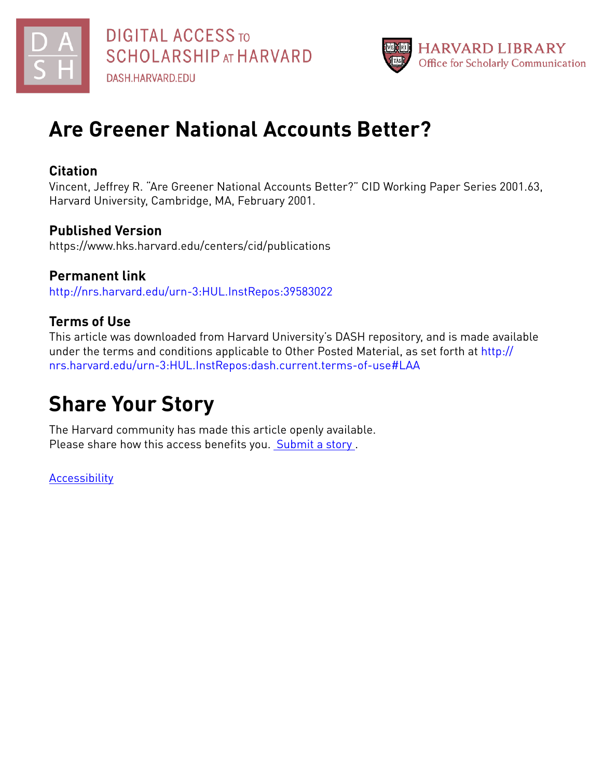



# **Are Greener National Accounts Better?**

## **Citation**

Vincent, Jeffrey R. "Are Greener National Accounts Better?" CID Working Paper Series 2001.63, Harvard University, Cambridge, MA, February 2001.

## **Published Version**

https://www.hks.harvard.edu/centers/cid/publications

**Permanent link** <http://nrs.harvard.edu/urn-3:HUL.InstRepos:39583022>

# **Terms of Use**

This article was downloaded from Harvard University's DASH repository, and is made available under the terms and conditions applicable to Other Posted Material, as set forth at [http://](http://nrs.harvard.edu/urn-3:HUL.InstRepos:dash.current.terms-of-use#LAA) [nrs.harvard.edu/urn-3:HUL.InstRepos:dash.current.terms-of-use#LAA](http://nrs.harvard.edu/urn-3:HUL.InstRepos:dash.current.terms-of-use#LAA)

# **Share Your Story**

The Harvard community has made this article openly available. Please share how this access benefits you. [Submit](http://osc.hul.harvard.edu/dash/open-access-feedback?handle=&title=Are%20Greener%20National%20Accounts%20Better?&community=1/3345933&collection=1/37363064&owningCollection1/37363064&harvardAuthors=371131165c9dbad927e26c826d327fc6&department) a story.

**[Accessibility](https://dash.harvard.edu/pages/accessibility)**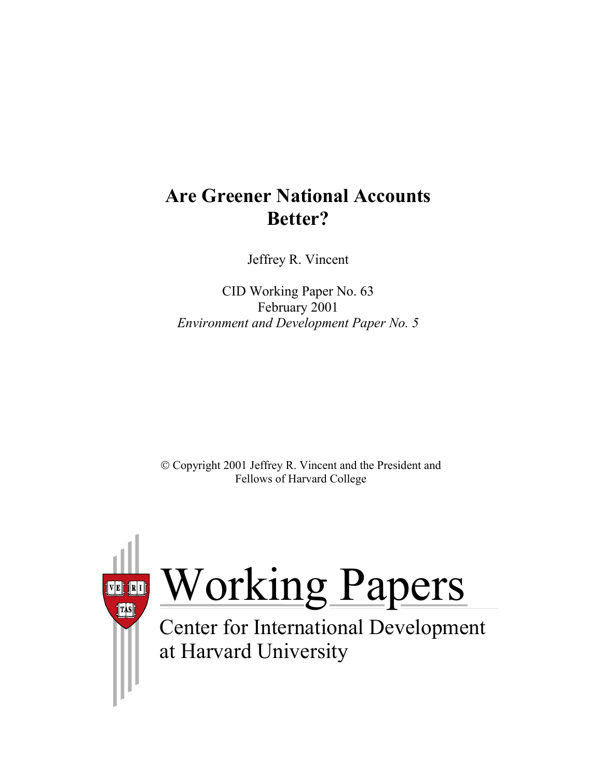# **Are Greener National Accounts Better?**

Jeffrey R. Vincent

CID Working Paper No. 63 February 2001 *Environment and Development Paper No. 5*

 Copyright 2001 Jeffrey R. Vincent and the President and Fellows of Harvard College



# Working Papers

at Harvard University Center for International Development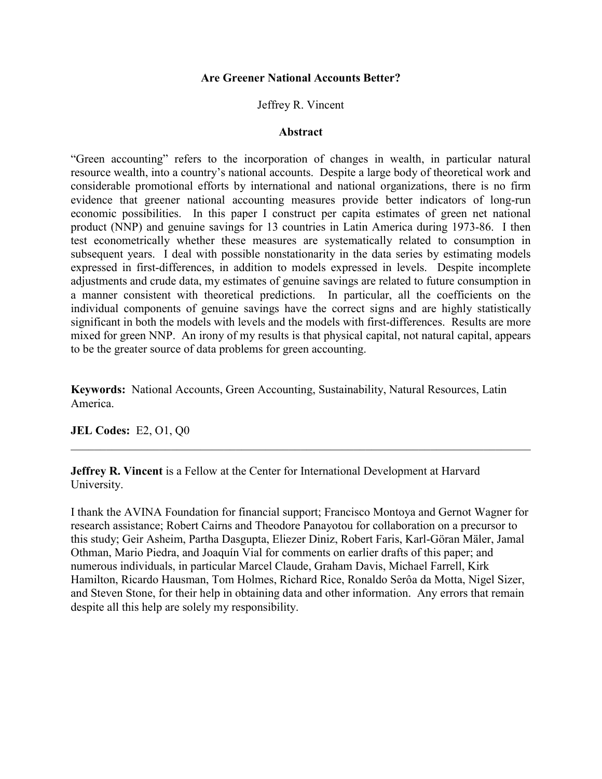#### **Are Greener National Accounts Better?**

#### Jeffrey R. Vincent

#### **Abstract**

"Green accounting" refers to the incorporation of changes in wealth, in particular natural resource wealth, into a country's national accounts. Despite a large body of theoretical work and considerable promotional efforts by international and national organizations, there is no firm evidence that greener national accounting measures provide better indicators of long-run economic possibilities. In this paper I construct per capita estimates of green net national product (NNP) and genuine savings for 13 countries in Latin America during 1973-86. I then test econometrically whether these measures are systematically related to consumption in subsequent years. I deal with possible nonstationarity in the data series by estimating models expressed in first-differences, in addition to models expressed in levels. Despite incomplete adjustments and crude data, my estimates of genuine savings are related to future consumption in a manner consistent with theoretical predictions. In particular, all the coefficients on the individual components of genuine savings have the correct signs and are highly statistically significant in both the models with levels and the models with first-differences. Results are more mixed for green NNP. An irony of my results is that physical capital, not natural capital, appears to be the greater source of data problems for green accounting.

**Keywords:** National Accounts, Green Accounting, Sustainability, Natural Resources, Latin America.

 $\_$  , and the contribution of the contribution of the contribution of the contribution of  $\mathcal{L}_\text{max}$ 

**JEL Codes:** E2, O1, Q0

**Jeffrey R. Vincent** is a Fellow at the Center for International Development at Harvard University.

I thank the AVINA Foundation for financial support; Francisco Montoya and Gernot Wagner for research assistance; Robert Cairns and Theodore Panayotou for collaboration on a precursor to this study; Geir Asheim, Partha Dasgupta, Eliezer Diniz, Robert Faris, Karl-Göran Mäler, Jamal Othman, Mario Piedra, and Joaquín Vial for comments on earlier drafts of this paper; and numerous individuals, in particular Marcel Claude, Graham Davis, Michael Farrell, Kirk Hamilton, Ricardo Hausman, Tom Holmes, Richard Rice, Ronaldo Serôa da Motta, Nigel Sizer, and Steven Stone, for their help in obtaining data and other information. Any errors that remain despite all this help are solely my responsibility.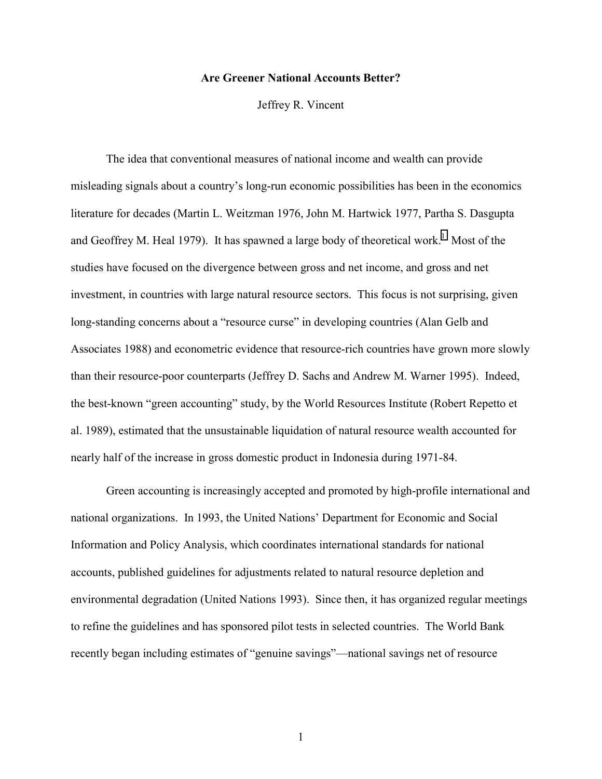#### **Are Greener National Accounts Better?**

Jeffrey R. Vincent

The idea that conventional measures of national income and wealth can provide misleading signals about a country's long-run economic possibilities has been in the economics literature for decades (Martin L. Weitzman 1976, John M. Hartwick 1977, Partha S. Dasgupta and Geoffrey M. Heal 1979). It has spawned a large body of theoretical work.<sup>1</sup> Most of the studies have focused on the divergence between gross and net income, and gross and net investment, in countries with large natural resource sectors. This focus is not surprising, given long-standing concerns about a "resource curse" in developing countries (Alan Gelb and Associates 1988) and econometric evidence that resource-rich countries have grown more slowly than their resource-poor counterparts (Jeffrey D. Sachs and Andrew M. Warner 1995). Indeed, the best-known "green accounting" study, by the World Resources Institute (Robert Repetto et al. 1989), estimated that the unsustainable liquidation of natural resource wealth accounted for nearly half of the increase in gross domestic product in Indonesia during 1971-84.

Green accounting is increasingly accepted and promoted by high-profile international and national organizations. In 1993, the United Nations' Department for Economic and Social Information and Policy Analysis, which coordinates international standards for national accounts, published guidelines for adjustments related to natural resource depletion and environmental degradation (United Nations 1993). Since then, it has organized regular meetings to refine the guidelines and has sponsored pilot tests in selected countries. The World Bank recently began including estimates of "genuine savings"—national savings net of resource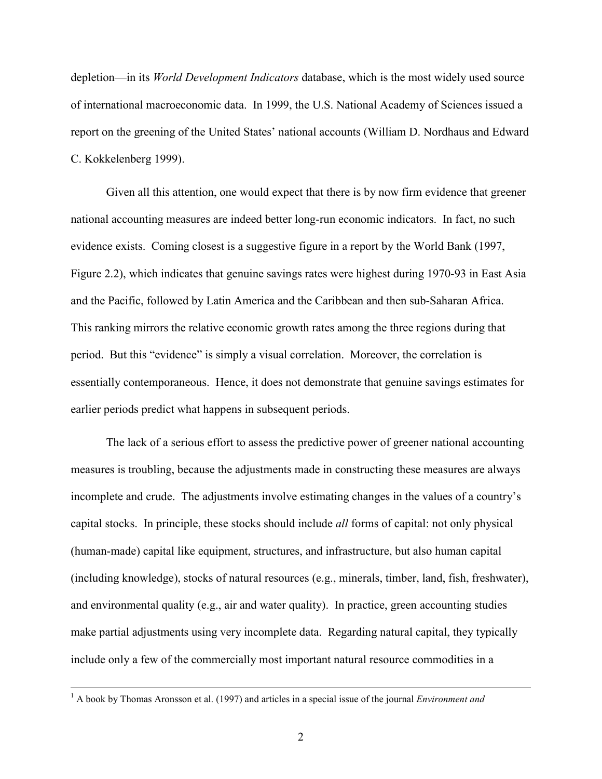depletion—in its *World Development Indicators* database, which is the most widely used source of international macroeconomic data. In 1999, the U.S. National Academy of Sciences issued a report on the greening of the United States' national accounts (William D. Nordhaus and Edward C. Kokkelenberg 1999).

Given all this attention, one would expect that there is by now firm evidence that greener national accounting measures are indeed better long-run economic indicators. In fact, no such evidence exists. Coming closest is a suggestive figure in a report by the World Bank (1997, Figure 2.2), which indicates that genuine savings rates were highest during 1970-93 in East Asia and the Pacific, followed by Latin America and the Caribbean and then sub-Saharan Africa. This ranking mirrors the relative economic growth rates among the three regions during that period. But this "evidence" is simply a visual correlation. Moreover, the correlation is essentially contemporaneous. Hence, it does not demonstrate that genuine savings estimates for earlier periods predict what happens in subsequent periods.

The lack of a serious effort to assess the predictive power of greener national accounting measures is troubling, because the adjustments made in constructing these measures are always incomplete and crude. The adjustments involve estimating changes in the values of a country's capital stocks. In principle, these stocks should include *all* forms of capital: not only physical (human-made) capital like equipment, structures, and infrastructure, but also human capital (including knowledge), stocks of natural resources (e.g., minerals, timber, land, fish, freshwater), and environmental quality (e.g., air and water quality). In practice, green accounting studies make partial adjustments using very incomplete data. Regarding natural capital, they typically include only a few of the commercially most important natural resource commodities in a

 $\frac{1}{1}$ <sup>1</sup> A book by Thomas Aronsson et al. (1997) and articles in a special issue of the journal *Environment and*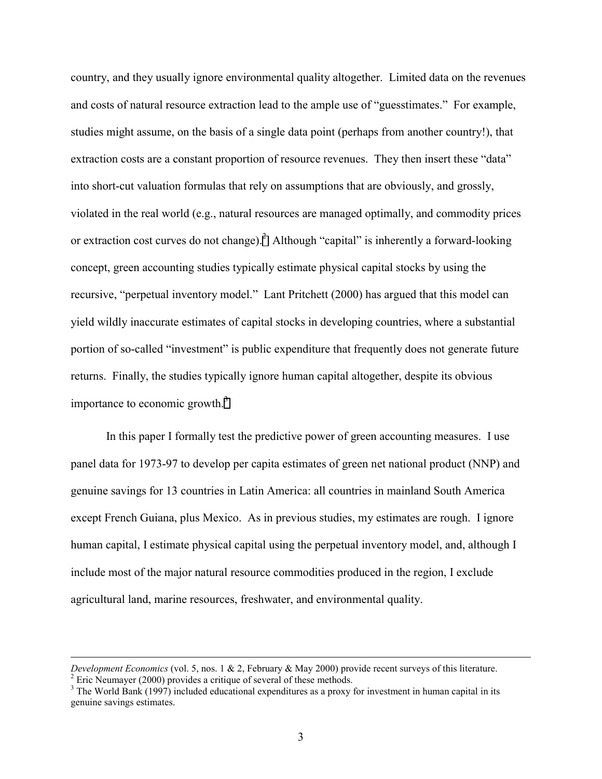country, and they usually ignore environmental quality altogether. Limited data on the revenues and costs of natural resource extraction lead to the ample use of "guesstimates." For example, studies might assume, on the basis of a single data point (perhaps from another country!), that extraction costs are a constant proportion of resource revenues. They then insert these "data" into short-cut valuation formulas that rely on assumptions that are obviously, and grossly, violated in the real world (e.g., natural resources are managed optimally, and commodity prices or extraction cost curves do not change).<sup>2</sup> Although "capital" is inherently a forward-looking concept, green accounting studies typically estimate physical capital stocks by using the recursive, "perpetual inventory model." Lant Pritchett (2000) has argued that this model can yield wildly inaccurate estimates of capital stocks in developing countries, where a substantial portion of so-called "investment" is public expenditure that frequently does not generate future returns. Finally, the studies typically ignore human capital altogether, despite its obvious importance to economic growth.<sup>3</sup>

In this paper I formally test the predictive power of green accounting measures. I use panel data for 1973-97 to develop per capita estimates of green net national product (NNP) and genuine savings for 13 countries in Latin America: all countries in mainland South America except French Guiana, plus Mexico. As in previous studies, my estimates are rough. I ignore human capital, I estimate physical capital using the perpetual inventory model, and, although I include most of the major natural resource commodities produced in the region, I exclude agricultural land, marine resources, freshwater, and environmental quality.

*Development Economics* (vol. 5, nos. 1 & 2, February & May 2000) provide recent surveys of this literature. <sup>2</sup>  $2$  Eric Neumayer (2000) provides a critique of several of these methods.

 $3$  The World Bank (1997) included educational expenditures as a proxy for investment in human capital in its genuine savings estimates.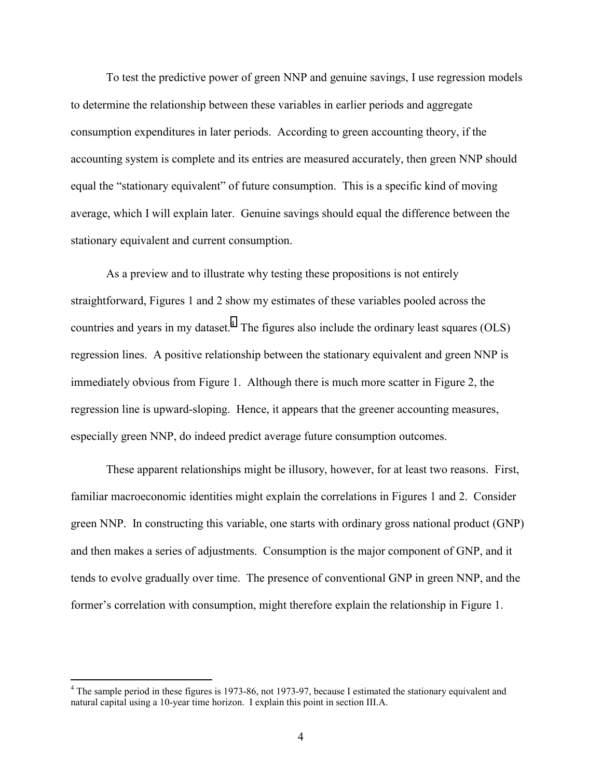To test the predictive power of green NNP and genuine savings, I use regression models to determine the relationship between these variables in earlier periods and aggregate consumption expenditures in later periods. According to green accounting theory, if the accounting system is complete and its entries are measured accurately, then green NNP should equal the "stationary equivalent" of future consumption. This is a specific kind of moving average, which I will explain later. Genuine savings should equal the difference between the stationary equivalent and current consumption.

As a preview and to illustrate why testing these propositions is not entirely straightforward, Figures 1 and 2 show my estimates of these variables pooled across the countries and years in my dataset.<sup>4</sup> The figures also include the ordinary least squares (OLS) regression lines. A positive relationship between the stationary equivalent and green NNP is immediately obvious from Figure 1. Although there is much more scatter in Figure 2, the regression line is upward-sloping. Hence, it appears that the greener accounting measures, especially green NNP, do indeed predict average future consumption outcomes.

These apparent relationships might be illusory, however, for at least two reasons. First, familiar macroeconomic identities might explain the correlations in Figures 1 and 2. Consider green NNP. In constructing this variable, one starts with ordinary gross national product (GNP) and then makes a series of adjustments. Consumption is the major component of GNP, and it tends to evolve gradually over time. The presence of conventional GNP in green NNP, and the former's correlation with consumption, might therefore explain the relationship in Figure 1.

 $4$  The sample period in these figures is 1973-86, not 1973-97, because I estimated the stationary equivalent and natural capital using a 10-year time horizon. I explain this point in section III.A.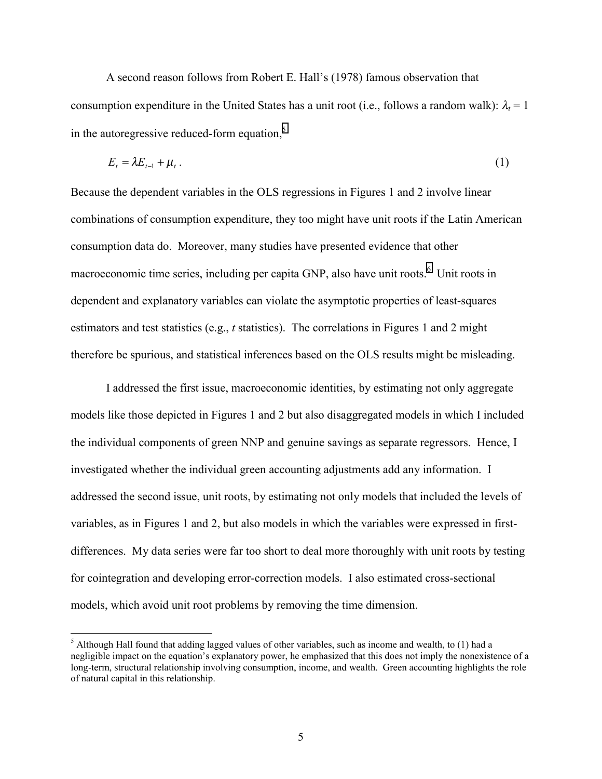A second reason follows from Robert E. Hall's (1978) famous observation that consumption expenditure in the United States has a unit root (i.e., follows a random walk):  $\lambda_t = 1$ in the autoregressive reduced-form equation,<sup>5</sup>

$$
E_t = \lambda E_{t-1} + \mu_t \tag{1}
$$

Because the dependent variables in the OLS regressions in Figures 1 and 2 involve linear combinations of consumption expenditure, they too might have unit roots if the Latin American consumption data do. Moreover, many studies have presented evidence that other macroeconomic time series, including per capita GNP, also have unit roots.<sup>6</sup> Unit roots in dependent and explanatory variables can violate the asymptotic properties of least-squares estimators and test statistics (e.g., *t* statistics). The correlations in Figures 1 and 2 might therefore be spurious, and statistical inferences based on the OLS results might be misleading.

I addressed the first issue, macroeconomic identities, by estimating not only aggregate models like those depicted in Figures 1 and 2 but also disaggregated models in which I included the individual components of green NNP and genuine savings as separate regressors. Hence, I investigated whether the individual green accounting adjustments add any information. I addressed the second issue, unit roots, by estimating not only models that included the levels of variables, as in Figures 1 and 2, but also models in which the variables were expressed in firstdifferences. My data series were far too short to deal more thoroughly with unit roots by testing for cointegration and developing error-correction models. I also estimated cross-sectional models, which avoid unit root problems by removing the time dimension.

 $<sup>5</sup>$  Although Hall found that adding lagged values of other variables, such as income and wealth, to (1) had a</sup> negligible impact on the equation's explanatory power, he emphasized that this does not imply the nonexistence of a long-term, structural relationship involving consumption, income, and wealth. Green accounting highlights the role of natural capital in this relationship.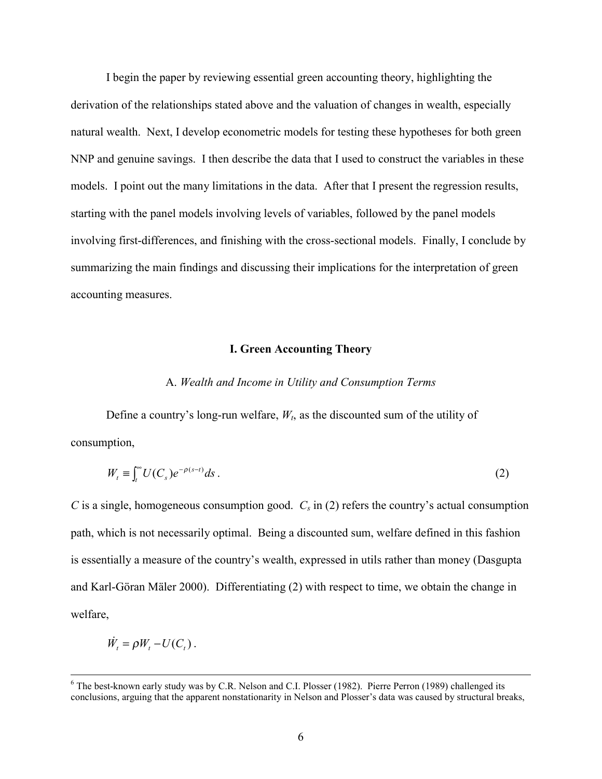I begin the paper by reviewing essential green accounting theory, highlighting the derivation of the relationships stated above and the valuation of changes in wealth, especially natural wealth. Next, I develop econometric models for testing these hypotheses for both green NNP and genuine savings. I then describe the data that I used to construct the variables in these models. I point out the many limitations in the data. After that I present the regression results, starting with the panel models involving levels of variables, followed by the panel models involving first-differences, and finishing with the cross-sectional models. Finally, I conclude by summarizing the main findings and discussing their implications for the interpretation of green accounting measures.

#### **I. Green Accounting Theory**

#### A. *Wealth and Income in Utility and Consumption Terms*

Define a country's long-run welfare,  $W_t$ , as the discounted sum of the utility of consumption,

$$
W_t \equiv \int_t^\infty U(C_s)e^{-\rho(s-t)}ds\,. \tag{2}
$$

*C* is a single, homogeneous consumption good.  $C_s$  in (2) refers the country's actual consumption path, which is not necessarily optimal. Being a discounted sum, welfare defined in this fashion is essentially a measure of the country's wealth, expressed in utils rather than money (Dasgupta and Karl-Göran Mäler 2000). Differentiating (2) with respect to time, we obtain the change in welfare,

$$
\dot{W}_t = \rho W_t - U(C_t).
$$

 $\frac{1}{6}$  $6$  The best-known early study was by C.R. Nelson and C.I. Plosser (1982). Pierre Perron (1989) challenged its conclusions, arguing that the apparent nonstationarity in Nelson and Plosser's data was caused by structural breaks,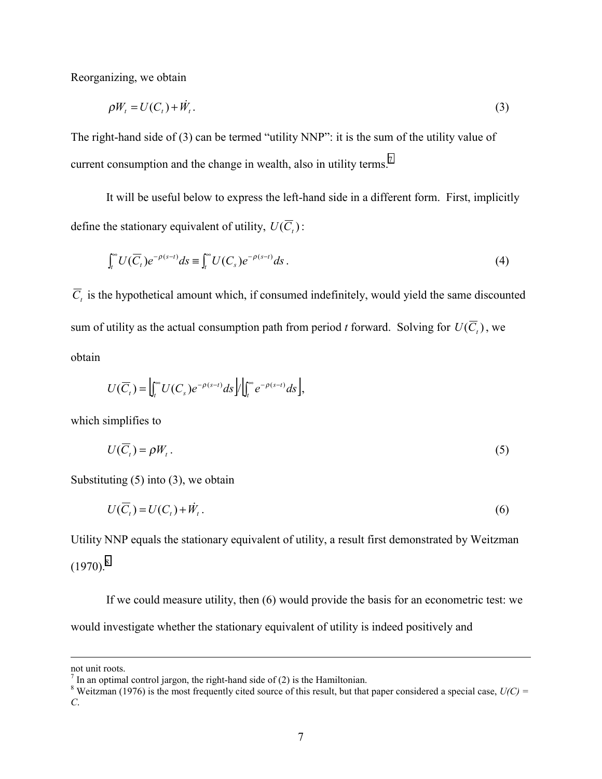Reorganizing, we obtain

$$
\rho W_t = U(C_t) + \dot{W}_t. \tag{3}
$$

The right-hand side of (3) can be termed "utility NNP": it is the sum of the utility value of current consumption and the change in wealth, also in utility terms.<sup>7</sup>

It will be useful below to express the left-hand side in a different form. First, implicitly define the stationary equivalent of utility,  $U(\overline{C}_t)$ :

$$
\int_t^{\infty} U(\overline{C}_t) e^{-\rho(s-t)} ds = \int_t^{\infty} U(C_s) e^{-\rho(s-t)} ds.
$$
\n(4)

 $\overline{C}_t$  is the hypothetical amount which, if consumed indefinitely, would yield the same discounted sum of utility as the actual consumption path from period *t* forward. Solving for  $U(\overline{C})$ , we obtain

$$
U(\overline{C}_t)=\Big|\int_t^{\infty}U(C_s)e^{-\rho(s-t)}ds\Big|\Big|\int_t^{\infty}e^{-\rho(s-t)}ds\Big|,
$$

which simplifies to

$$
U(\overline{C}_t) = \rho W_t. \tag{5}
$$

Substituting  $(5)$  into  $(3)$ , we obtain

$$
U(\overline{C}_t) = U(C_t) + \dot{W}_t. \tag{6}
$$

Utility NNP equals the stationary equivalent of utility, a result first demonstrated by Weitzman  $(1970)^8$ 

If we could measure utility, then (6) would provide the basis for an econometric test: we would investigate whether the stationary equivalent of utility is indeed positively and

not unit roots.

 $<sup>7</sup>$  In an optimal control jargon, the right-hand side of (2) is the Hamiltonian.</sup>

<sup>&</sup>lt;sup>8</sup> Weitzman (1976) is the most frequently cited source of this result, but that paper considered a special case,  $U(C)$  = *C*.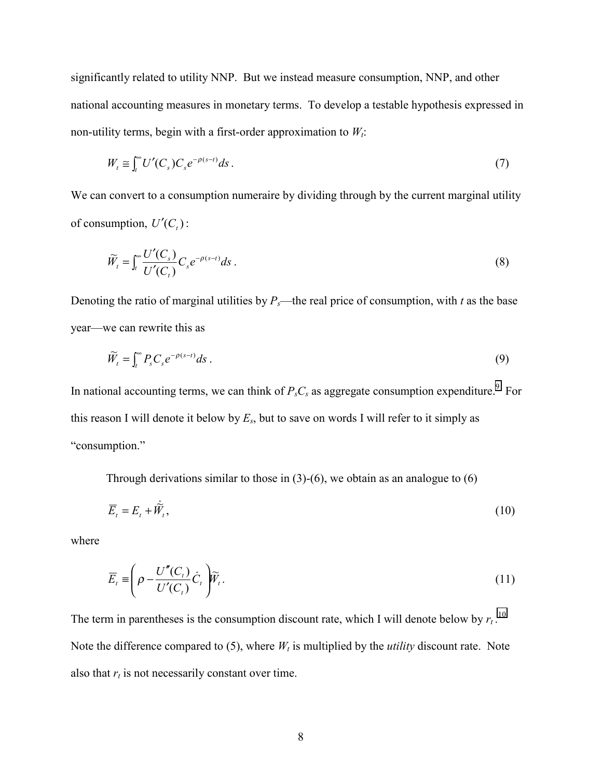significantly related to utility NNP. But we instead measure consumption, NNP, and other national accounting measures in monetary terms. To develop a testable hypothesis expressed in non-utility terms, begin with a first-order approximation to  $W_t$ :

$$
W_t \cong \int_t^\infty U'(C_s) C_s e^{-\rho(s-t)} ds. \tag{7}
$$

We can convert to a consumption numeraire by dividing through by the current marginal utility of consumption,  $U'(C_i)$ :

$$
\widetilde{W}_t = \int_t^{\infty} \frac{U'(C_s)}{U'(C_t)} C_s e^{-\rho(s-t)} ds.
$$
\n(8)

Denoting the ratio of marginal utilities by  $P_s$ —the real price of consumption, with *t* as the base year—we can rewrite this as

$$
\widetilde{W}_t = \int_t^{\infty} P_s C_s e^{-\rho(s-t)} ds \ . \tag{9}
$$

In national accounting terms, we can think of  $P_sC_s$  as aggregate consumption expenditure.<sup>9</sup> For this reason I will denote it below by  $E_s$ , but to save on words I will refer to it simply as "consumption."

Through derivations similar to those in  $(3)-(6)$ , we obtain as an analogue to  $(6)$ 

$$
\overline{E}_t = E_t + \dot{\overline{W}}_t,\tag{10}
$$

where

$$
\overline{E}_t \equiv \left(\rho - \frac{U''(C_t)}{U'(C_t)} \dot{C}_t\right) \widetilde{W}_t.
$$
\n(11)

The term in parentheses is the consumption discount rate, which I will denote below by  $r_t$ .<sup>10</sup> Note the difference compared to (5), where  $W_t$  is multiplied by the *utility* discount rate. Note also that  $r_t$  is not necessarily constant over time.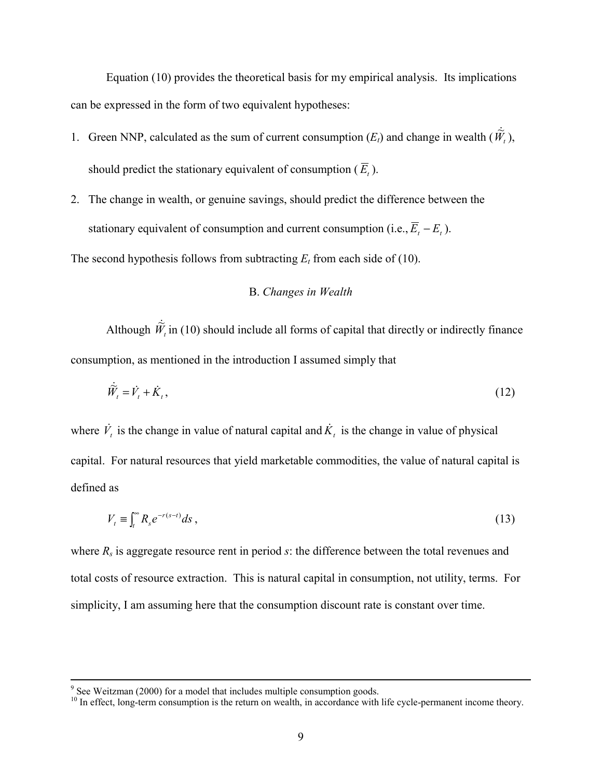Equation (10) provides the theoretical basis for my empirical analysis. Its implications can be expressed in the form of two equivalent hypotheses:

- 1. Green NNP, calculated as the sum of current consumption  $(E_t)$  and change in wealth  $(\hat{W}_t)$ , should predict the stationary equivalent of consumption  $(\overline{E}_t)$ .
- 2. The change in wealth, or genuine savings, should predict the difference between the stationary equivalent of consumption and current consumption (i.e.,  $\overline{E}_t - E_t$ ).

The second hypothesis follows from subtracting  $E_t$  from each side of (10).

#### B. *Changes in Wealth*

Although  $\hat{W}_t$  in (10) should include all forms of capital that directly or indirectly finance consumption, as mentioned in the introduction I assumed simply that

$$
\dot{\widetilde{W}}_t = \dot{V}_t + \dot{K}_t, \tag{12}
$$

where  $\dot{V}_t$  is the change in value of natural capital and  $\dot{K}_t$  is the change in value of physical capital. For natural resources that yield marketable commodities, the value of natural capital is defined as

$$
V_t \equiv \int_t^{\infty} R_s e^{-r(s-t)} ds,
$$
\n(13)

where *Rs* is aggregate resource rent in period *s*: the difference between the total revenues and total costs of resource extraction. This is natural capital in consumption, not utility, terms. For simplicity, I am assuming here that the consumption discount rate is constant over time.

<sup>-&</sup>lt;br>9  $\degree$  See Weitzman (2000) for a model that includes multiple consumption goods.

<sup>&</sup>lt;sup>10</sup> In effect, long-term consumption is the return on wealth, in accordance with life cycle-permanent income theory.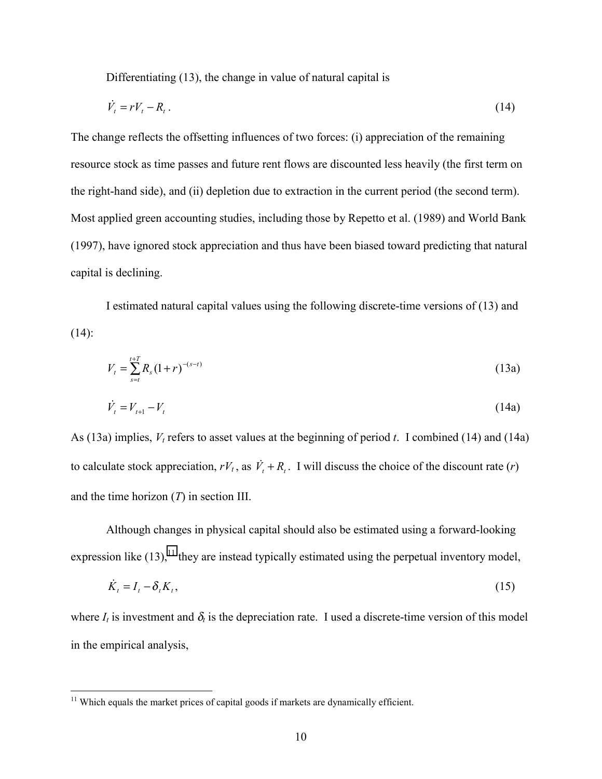Differentiating (13), the change in value of natural capital is

$$
\dot{V}_t = rV_t - R_t \,. \tag{14}
$$

The change reflects the offsetting influences of two forces: (i) appreciation of the remaining resource stock as time passes and future rent flows are discounted less heavily (the first term on the right-hand side), and (ii) depletion due to extraction in the current period (the second term). Most applied green accounting studies, including those by Repetto et al. (1989) and World Bank (1997), have ignored stock appreciation and thus have been biased toward predicting that natural capital is declining.

I estimated natural capital values using the following discrete-time versions of (13) and  $(14)$ :

$$
V_t = \sum_{s=t}^{t+T} R_s (1+r)^{-(s-t)}
$$
(13a)

$$
\dot{V}_t = V_{t+1} - V_t \tag{14a}
$$

As (13a) implies,  $V_t$  refers to asset values at the beginning of period *t*. I combined (14) and (14a) to calculate stock appreciation,  $rV_t$ , as  $\dot{V}_t + R_t$ . I will discuss the choice of the discount rate (*r*) and the time horizon (*T*) in section III.

Although changes in physical capital should also be estimated using a forward-looking expression like  $(13)$ ,<sup>11</sup> they are instead typically estimated using the perpetual inventory model,

$$
\dot{K}_t = I_t - \delta_t K_t,\tag{15}
$$

where  $I_t$  is investment and  $\delta_t$  is the depreciation rate. I used a discrete-time version of this model in the empirical analysis,

 $11$  Which equals the market prices of capital goods if markets are dynamically efficient.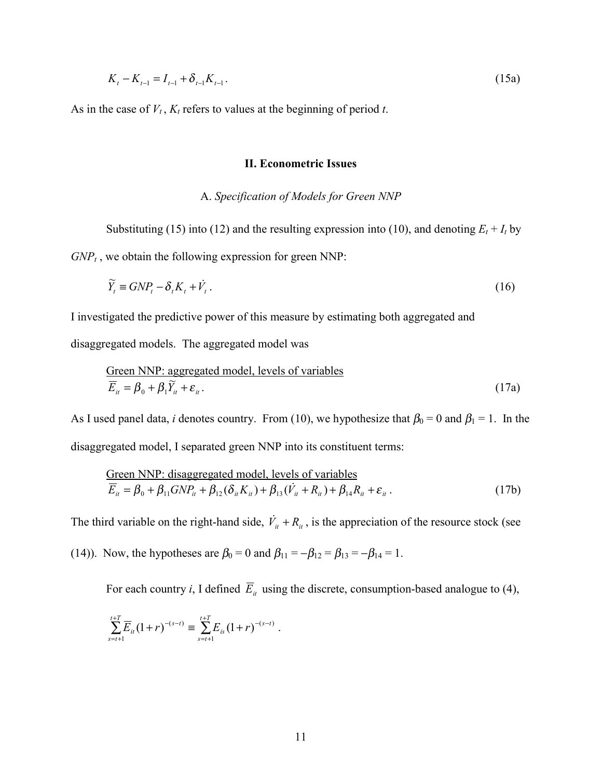$$
K_t - K_{t-1} = I_{t-1} + \delta_{t-1} K_{t-1}.
$$
\n(15a)

As in the case of  $V_t$ ,  $K_t$  refers to values at the beginning of period *t*.

#### **II. Econometric Issues**

#### A. *Specification of Models for Green NNP*

Substituting (15) into (12) and the resulting expression into (10), and denoting  $E_t + I_t$  by  $GNP_t$ , we obtain the following expression for green NNP:

$$
\widetilde{Y}_t \equiv GNP_t - \delta_t K_t + \dot{V}_t. \tag{16}
$$

I investigated the predictive power of this measure by estimating both aggregated and

disaggregated models. The aggregated model was

Green NNP: aggregated model, levels of variables  
\n
$$
\overline{E}_{it} = \beta_0 + \beta_1 \widetilde{Y}_{it} + \varepsilon_{it}.
$$
\n(17a)

As I used panel data, *i* denotes country. From (10), we hypothesize that  $\beta_0 = 0$  and  $\beta_1 = 1$ . In the disaggregated model, I separated green NNP into its constituent terms:

Green NNP: disaggregated model, levels of variables  
\n
$$
\overline{E}_{it} = \beta_0 + \beta_{11} GNP_{it} + \beta_{12} (\delta_{it} K_{it}) + \beta_{13} (\dot{V}_{it} + R_{it}) + \beta_{14} R_{it} + \varepsilon_{it}.
$$
\n(17b)

The third variable on the right-hand side,  $\dot{V}_i + R_i$ , is the appreciation of the resource stock (see

(14)). Now, the hypotheses are  $\beta_0 = 0$  and  $\beta_{11} = -\beta_{12} = \beta_{13} = -\beta_{14} = 1$ .

For each country *i*, I defined  $\overline{E}_i$  using the discrete, consumption-based analogue to (4),

$$
\sum_{s=t+1}^{t+T} \overline{E}_{it} (1+r)^{-(s-t)} \equiv \sum_{s=t+1}^{t+T} E_{is} (1+r)^{-(s-t)}.
$$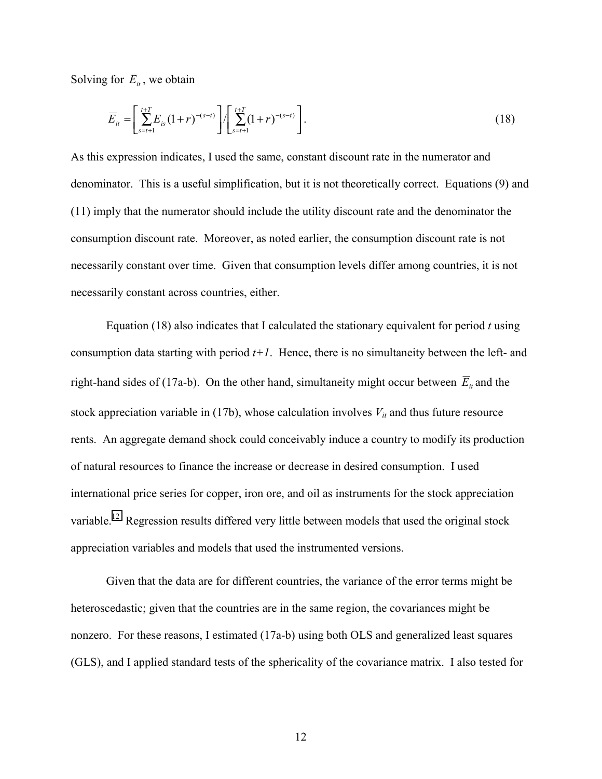Solving for  $\overline{E}_{it}$ , we obtain

$$
\overline{E}_{it} = \left[ \sum_{s=t+1}^{t+T} E_{is} (1+r)^{-(s-t)} \right] / \left[ \sum_{s=t+1}^{t+T} (1+r)^{-(s-t)} \right]. \tag{18}
$$

As this expression indicates, I used the same, constant discount rate in the numerator and denominator. This is a useful simplification, but it is not theoretically correct. Equations (9) and (11) imply that the numerator should include the utility discount rate and the denominator the consumption discount rate. Moreover, as noted earlier, the consumption discount rate is not necessarily constant over time. Given that consumption levels differ among countries, it is not necessarily constant across countries, either.

Equation (18) also indicates that I calculated the stationary equivalent for period *t* using consumption data starting with period  $t+1$ . Hence, there is no simultaneity between the left- and right-hand sides of (17a-b). On the other hand, simultaneity might occur between  $\overline{E}_{it}$  and the stock appreciation variable in (17b), whose calculation involves  $V_{it}$  and thus future resource rents. An aggregate demand shock could conceivably induce a country to modify its production of natural resources to finance the increase or decrease in desired consumption. I used international price series for copper, iron ore, and oil as instruments for the stock appreciation variable.<sup>12</sup> Regression results differed very little between models that used the original stock appreciation variables and models that used the instrumented versions.

Given that the data are for different countries, the variance of the error terms might be heteroscedastic; given that the countries are in the same region, the covariances might be nonzero. For these reasons, I estimated (17a-b) using both OLS and generalized least squares (GLS), and I applied standard tests of the sphericality of the covariance matrix. I also tested for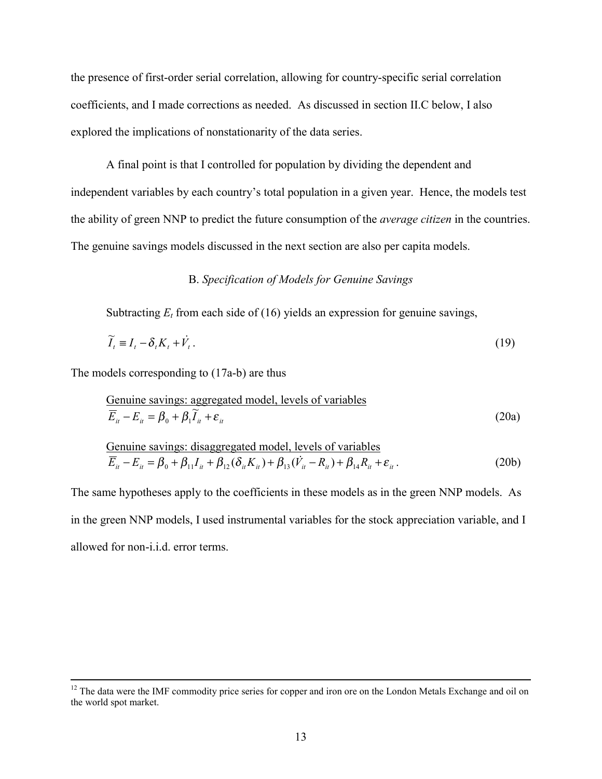the presence of first-order serial correlation, allowing for country-specific serial correlation coefficients, and I made corrections as needed. As discussed in section II.C below, I also explored the implications of nonstationarity of the data series.

A final point is that I controlled for population by dividing the dependent and independent variables by each country's total population in a given year. Hence, the models test the ability of green NNP to predict the future consumption of the *average citizen* in the countries. The genuine savings models discussed in the next section are also per capita models.

#### B. *Specification of Models for Genuine Savings*

Subtracting  $E_t$  from each side of (16) yields an expression for genuine savings,

$$
\widetilde{I}_t \equiv I_t - \delta_t K_t + \dot{V}_t. \tag{19}
$$

The models corresponding to (17a-b) are thus

Genuine savings: aggregated model, levels of variables  
\n
$$
\overline{E}_{it} - E_{it} = \beta_0 + \beta_1 \widetilde{I}_{it} + \varepsilon_{it}
$$
\n(20a)

Genuine savings: disappeared model, levels of variables  
\n
$$
\overline{E}_{it} - E_{it} = \beta_0 + \beta_{11} I_{it} + \beta_{12} (\delta_{it} K_{it}) + \beta_{13} (\dot{V}_{it} - R_{it}) + \beta_{14} R_{it} + \varepsilon_{it}.
$$
\n(20b)

The same hypotheses apply to the coefficients in these models as in the green NNP models. As in the green NNP models, I used instrumental variables for the stock appreciation variable, and I allowed for non-i.i.d. error terms.

<sup>&</sup>lt;sup>12</sup> The data were the IMF commodity price series for copper and iron ore on the London Metals Exchange and oil on the world spot market.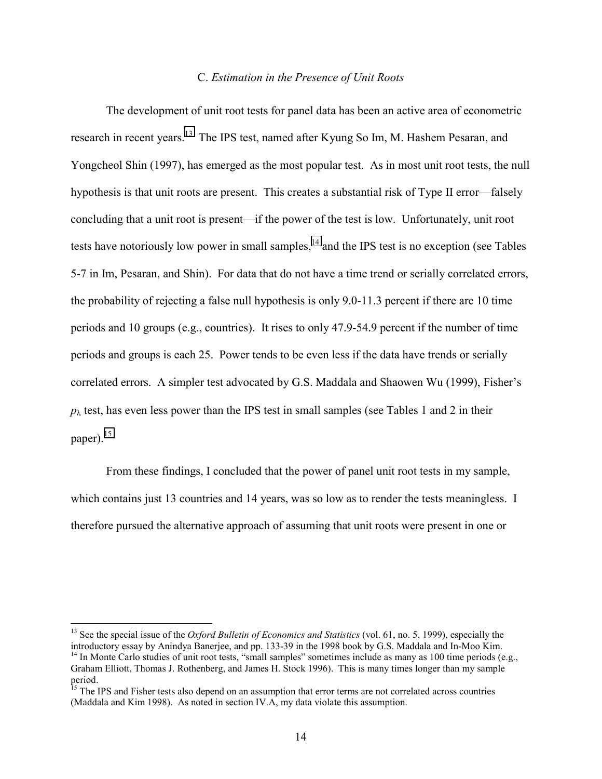#### C. *Estimation in the Presence of Unit Roots*

The development of unit root tests for panel data has been an active area of econometric research in recent years.13 The IPS test, named after Kyung So Im, M. Hashem Pesaran, and Yongcheol Shin (1997), has emerged as the most popular test. As in most unit root tests, the null hypothesis is that unit roots are present. This creates a substantial risk of Type II error—falsely concluding that a unit root is present—if the power of the test is low. Unfortunately, unit root tests have notoriously low power in small samples, $<sup>14</sup>$  and the IPS test is no exception (see Tables</sup> 5-7 in Im, Pesaran, and Shin). For data that do not have a time trend or serially correlated errors, the probability of rejecting a false null hypothesis is only 9.0-11.3 percent if there are 10 time periods and 10 groups (e.g., countries). It rises to only 47.9-54.9 percent if the number of time periods and groups is each 25. Power tends to be even less if the data have trends or serially correlated errors. A simpler test advocated by G.S. Maddala and Shaowen Wu (1999), Fisher's  $p_{\lambda}$  test, has even less power than the IPS test in small samples (see Tables 1 and 2 in their paper). $15$ 

From these findings, I concluded that the power of panel unit root tests in my sample, which contains just 13 countries and 14 years, was so low as to render the tests meaningless. I therefore pursued the alternative approach of assuming that unit roots were present in one or

<sup>&</sup>lt;sup>13</sup> See the special issue of the *Oxford Bulletin of Economics and Statistics* (vol. 61, no. 5, 1999), especially the introductory essay by Anindya Banerjee, and pp. 133-39 in the 1998 book by G.S. Maddala and In-Moo Kim. <sup>14</sup> In Monte Carlo studies of unit root tests, "small samples" sometimes include as many as 100 time periods (e.g., Graham Elliott, Thomas J. Rothenberg, and James H. Stock 1996). This is many times longer than my sample period.

<sup>&</sup>lt;sup>15</sup> The IPS and Fisher tests also depend on an assumption that error terms are not correlated across countries (Maddala and Kim 1998). As noted in section IV.A, my data violate this assumption.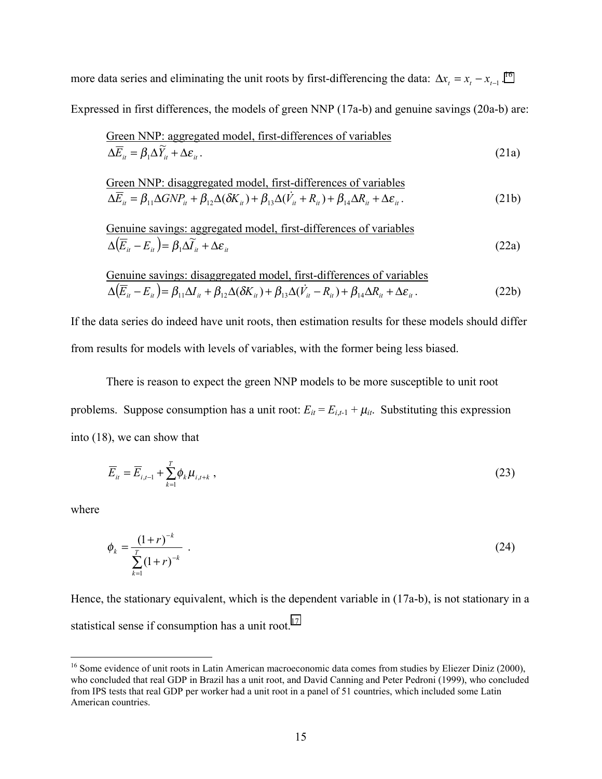more data series and eliminating the unit roots by first-differencing the data:  $\Delta x_t = x_t - x_{t-1}$ .<sup>16</sup>

Expressed in first differences, the models of green NNP (17a-b) and genuine savings (20a-b) are:

Green NNP: aggregated model, first-differences of variables  
\n
$$
\Delta \overline{E}_u = \beta_1 \Delta \widetilde{Y}_u + \Delta \varepsilon_u.
$$
\n(21a)

$$
\frac{\text{Green NNP: disappeared model, first-differences of variables}}{\Delta \overline{E}_{it} = \beta_{11} \Delta G N P_{it} + \beta_{12} \Delta (\delta K_{it}) + \beta_{13} \Delta (\dot{V}_{it} + R_{it}) + \beta_{14} \Delta R_{it} + \Delta \varepsilon_{it}}.
$$
\n(21b)

Genuine savings: aggregated model, first-differences of variables  
\n
$$
\Delta(\overline{E}_u - E_u) = \beta_1 \Delta \widetilde{I}_u + \Delta \varepsilon_u
$$
\n(22a)

Genuine savings: disappeared model, first-differences of variables  
\n
$$
\Delta(\overline{E}_{it} - E_{it}) = \beta_{11} \Delta I_{it} + \beta_{12} \Delta (\delta K_{it}) + \beta_{13} \Delta (\dot{V}_{it} - R_{it}) + \beta_{14} \Delta R_{it} + \Delta \varepsilon_{it}.
$$
\n(22b)

If the data series do indeed have unit roots, then estimation results for these models should differ from results for models with levels of variables, with the former being less biased.

There is reason to expect the green NNP models to be more susceptible to unit root problems. Suppose consumption has a unit root:  $E_{it} = E_{i,t-1} + \mu_{it}$ . Substituting this expression into (18), we can show that

$$
\overline{E}_{it} = \overline{E}_{i,t-1} + \sum_{k=1}^{T} \phi_k \mu_{i,t+k} \tag{23}
$$

where

 $\overline{a}$ 

$$
\phi_k = \frac{(1+r)^{-k}}{\sum_{k=1}^r (1+r)^{-k}} \tag{24}
$$

Hence, the stationary equivalent, which is the dependent variable in (17a-b), is not stationary in a statistical sense if consumption has a unit root.<sup>17</sup>

<sup>&</sup>lt;sup>16</sup> Some evidence of unit roots in Latin American macroeconomic data comes from studies by Eliezer Diniz (2000), who concluded that real GDP in Brazil has a unit root, and David Canning and Peter Pedroni (1999), who concluded from IPS tests that real GDP per worker had a unit root in a panel of 51 countries, which included some Latin American countries.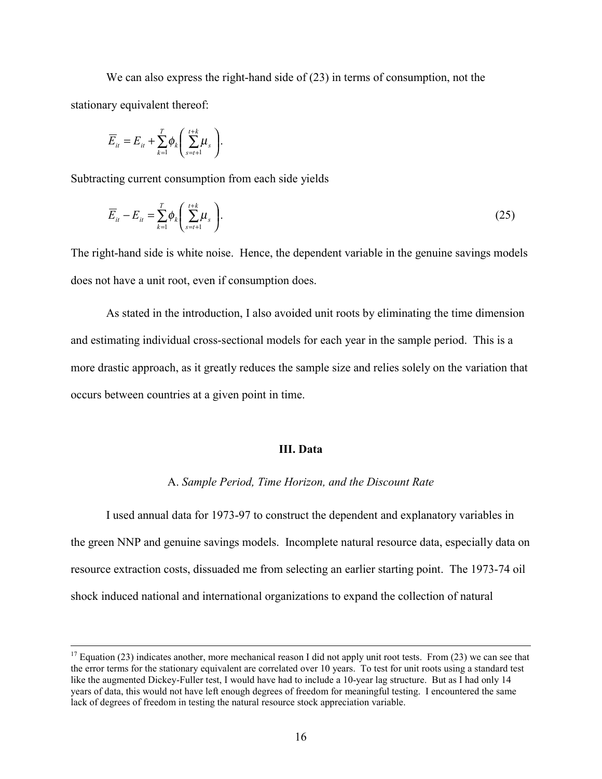We can also express the right-hand side of  $(23)$  in terms of consumption, not the stationary equivalent thereof:

$$
\overline{E}_{it} = E_{it} + \sum_{k=1}^{T} \phi_k \left( \sum_{s=t+1}^{t+k} \mu_s \right).
$$

Subtracting current consumption from each side yields

$$
\overline{E}_{it} - E_{it} = \sum_{k=1}^{T} \phi_k \left( \sum_{s=t+1}^{t+k} \mu_s \right). \tag{25}
$$

The right-hand side is white noise. Hence, the dependent variable in the genuine savings models does not have a unit root, even if consumption does.

As stated in the introduction, I also avoided unit roots by eliminating the time dimension and estimating individual cross-sectional models for each year in the sample period. This is a more drastic approach, as it greatly reduces the sample size and relies solely on the variation that occurs between countries at a given point in time.

#### **III. Data**

#### A. *Sample Period, Time Horizon, and the Discount Rate*

I used annual data for 1973-97 to construct the dependent and explanatory variables in the green NNP and genuine savings models. Incomplete natural resource data, especially data on resource extraction costs, dissuaded me from selecting an earlier starting point. The 1973-74 oil shock induced national and international organizations to expand the collection of natural

<sup>&</sup>lt;sup>17</sup> Equation (23) indicates another, more mechanical reason I did not apply unit root tests. From (23) we can see that the error terms for the stationary equivalent are correlated over 10 years. To test for unit roots using a standard test like the augmented Dickey-Fuller test, I would have had to include a 10-year lag structure. But as I had only 14 years of data, this would not have left enough degrees of freedom for meaningful testing. I encountered the same lack of degrees of freedom in testing the natural resource stock appreciation variable.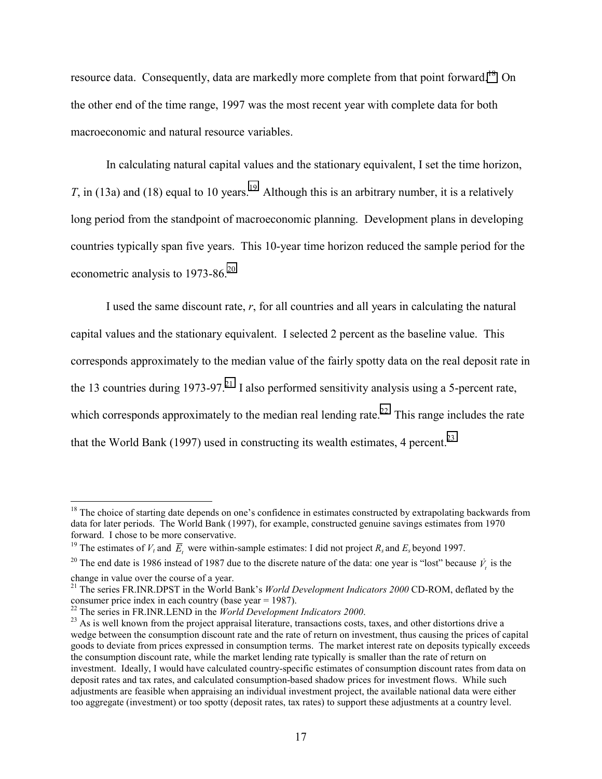resource data. Consequently, data are markedly more complete from that point forward.<sup>18</sup> On the other end of the time range, 1997 was the most recent year with complete data for both macroeconomic and natural resource variables.

In calculating natural capital values and the stationary equivalent, I set the time horizon, *T*, in (13a) and (18) equal to 10 years.<sup>19</sup> Although this is an arbitrary number, it is a relatively long period from the standpoint of macroeconomic planning. Development plans in developing countries typically span five years. This 10-year time horizon reduced the sample period for the econometric analysis to 1973-86.<sup>20</sup>

I used the same discount rate, *r*, for all countries and all years in calculating the natural capital values and the stationary equivalent. I selected 2 percent as the baseline value. This corresponds approximately to the median value of the fairly spotty data on the real deposit rate in the 13 countries during 1973-97.<sup>21</sup> I also performed sensitivity analysis using a 5-percent rate, which corresponds approximately to the median real lending rate.<sup>22</sup> This range includes the rate that the World Bank (1997) used in constructing its wealth estimates, 4 percent.<sup>23</sup>

 $18$  The choice of starting date depends on one's confidence in estimates constructed by extrapolating backwards from data for later periods. The World Bank (1997), for example, constructed genuine savings estimates from 1970 forward. I chose to be more conservative.

<sup>&</sup>lt;sup>19</sup> The estimates of  $V_t$  and  $\overline{E}_t$  were within-sample estimates: I did not project  $R_s$  and  $E_s$  beyond 1997.

<sup>&</sup>lt;sup>20</sup> The end date is 1986 instead of 1987 due to the discrete nature of the data: one year is "lost" because  $\dot{V}_i$  is the change in value over the course of a year.

<sup>21</sup> The series FR.INR.DPST in the World Bank's *World Development Indicators 2000* CD-ROM, deflated by the consumer price index in each country (base year = 1987).<br><sup>22</sup> The series in FR.INR.LEND in the *World Development Indicators 2000*.

<sup>&</sup>lt;sup>23</sup> As is well known from the project appraisal literature, transactions costs, taxes, and other distortions drive a wedge between the consumption discount rate and the rate of return on investment, thus causing the prices of capital goods to deviate from prices expressed in consumption terms. The market interest rate on deposits typically exceeds the consumption discount rate, while the market lending rate typically is smaller than the rate of return on investment. Ideally, I would have calculated country-specific estimates of consumption discount rates from data on deposit rates and tax rates, and calculated consumption-based shadow prices for investment flows. While such adjustments are feasible when appraising an individual investment project, the available national data were either too aggregate (investment) or too spotty (deposit rates, tax rates) to support these adjustments at a country level.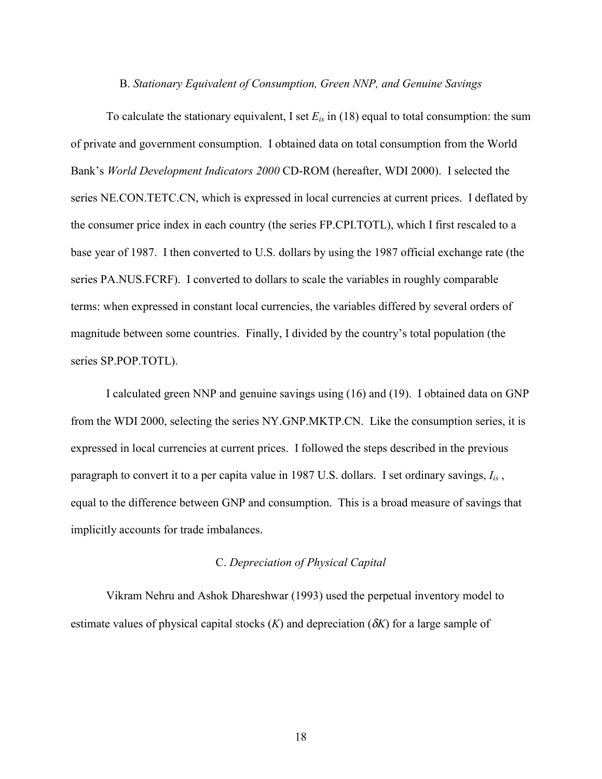#### B. *Stationary Equivalent of Consumption, Green NNP, and Genuine Savings*

To calculate the stationary equivalent, I set  $E_{is}$  in (18) equal to total consumption: the sum of private and government consumption. I obtained data on total consumption from the World Bank's *World Development Indicators 2000* CD-ROM (hereafter, WDI 2000). I selected the series NE.CON.TETC.CN, which is expressed in local currencies at current prices. I deflated by the consumer price index in each country (the series FP.CPI.TOTL), which I first rescaled to a base year of 1987. I then converted to U.S. dollars by using the 1987 official exchange rate (the series PA.NUS.FCRF). I converted to dollars to scale the variables in roughly comparable terms: when expressed in constant local currencies, the variables differed by several orders of magnitude between some countries. Finally, I divided by the country's total population (the series SP.POP.TOTL).

I calculated green NNP and genuine savings using (16) and (19). I obtained data on GNP from the WDI 2000, selecting the series NY.GNP.MKTP.CN. Like the consumption series, it is expressed in local currencies at current prices. I followed the steps described in the previous paragraph to convert it to a per capita value in 1987 U.S. dollars. I set ordinary savings, *Iis* , equal to the difference between GNP and consumption. This is a broad measure of savings that implicitly accounts for trade imbalances.

#### C. *Depreciation of Physical Capital*

Vikram Nehru and Ashok Dhareshwar (1993) used the perpetual inventory model to estimate values of physical capital stocks  $(K)$  and depreciation  $(\delta K)$  for a large sample of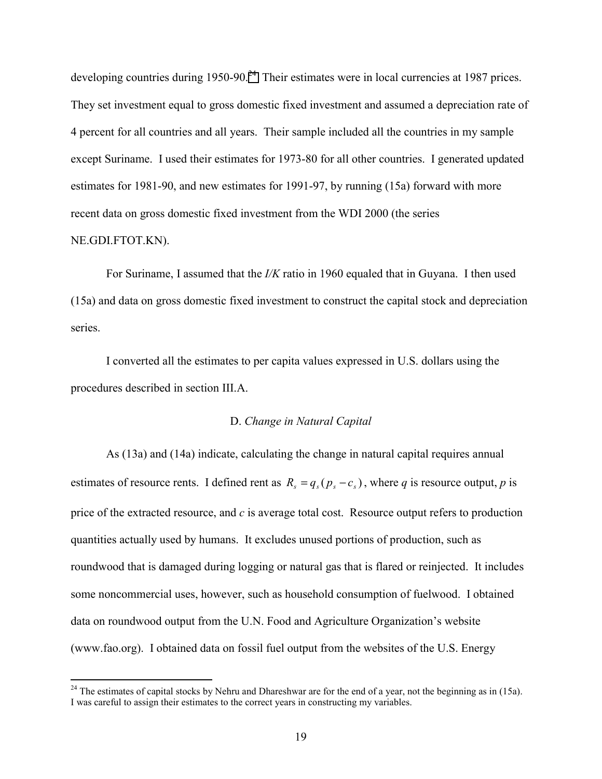developing countries during 1950-90.<sup>24</sup> Their estimates were in local currencies at 1987 prices. They set investment equal to gross domestic fixed investment and assumed a depreciation rate of 4 percent for all countries and all years. Their sample included all the countries in my sample except Suriname. I used their estimates for 1973-80 for all other countries. I generated updated estimates for 1981-90, and new estimates for 1991-97, by running (15a) forward with more recent data on gross domestic fixed investment from the WDI 2000 (the series

#### NE.GDI.FTOT.KN).

1

For Suriname, I assumed that the *I/K* ratio in 1960 equaled that in Guyana. I then used (15a) and data on gross domestic fixed investment to construct the capital stock and depreciation series.

I converted all the estimates to per capita values expressed in U.S. dollars using the procedures described in section III.A.

#### D. *Change in Natural Capital*

As (13a) and (14a) indicate, calculating the change in natural capital requires annual estimates of resource rents. I defined rent as  $R_s = q_s (p_s - c_s)$ , where *q* is resource output, *p* is price of the extracted resource, and *c* is average total cost. Resource output refers to production quantities actually used by humans. It excludes unused portions of production, such as roundwood that is damaged during logging or natural gas that is flared or reinjected. It includes some noncommercial uses, however, such as household consumption of fuelwood. I obtained data on roundwood output from the U.N. Food and Agriculture Organization's website (www.fao.org). I obtained data on fossil fuel output from the websites of the U.S. Energy

<sup>&</sup>lt;sup>24</sup> The estimates of capital stocks by Nehru and Dhareshwar are for the end of a year, not the beginning as in (15a). I was careful to assign their estimates to the correct years in constructing my variables.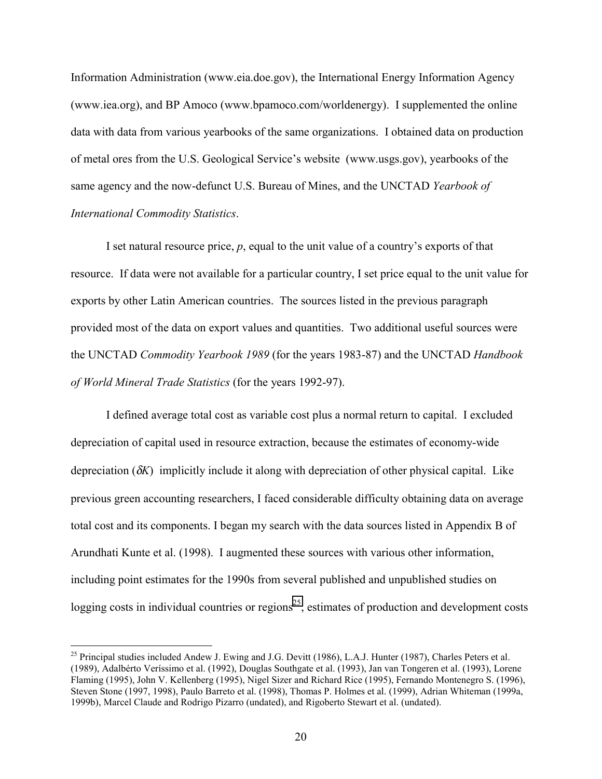Information Administration (www.eia.doe.gov), the International Energy Information Agency (www.iea.org), and BP Amoco (www.bpamoco.com/worldenergy). I supplemented the online data with data from various yearbooks of the same organizations. I obtained data on production of metal ores from the U.S. Geological Service's website (www.usgs.gov), yearbooks of the same agency and the now-defunct U.S. Bureau of Mines, and the UNCTAD *Yearbook of International Commodity Statistics*.

I set natural resource price, *p*, equal to the unit value of a country's exports of that resource. If data were not available for a particular country, I set price equal to the unit value for exports by other Latin American countries. The sources listed in the previous paragraph provided most of the data on export values and quantities. Two additional useful sources were the UNCTAD *Commodity Yearbook 1989* (for the years 1983-87) and the UNCTAD *Handbook of World Mineral Trade Statistics* (for the years 1992-97).

I defined average total cost as variable cost plus a normal return to capital. I excluded depreciation of capital used in resource extraction, because the estimates of economy-wide depreciation (δ*K*) implicitly include it along with depreciation of other physical capital. Like previous green accounting researchers, I faced considerable difficulty obtaining data on average total cost and its components. I began my search with the data sources listed in Appendix B of Arundhati Kunte et al. (1998). I augmented these sources with various other information, including point estimates for the 1990s from several published and unpublished studies on logging costs in individual countries or regions<sup>25</sup>; estimates of production and development costs

<sup>&</sup>lt;sup>25</sup> Principal studies included Andew J. Ewing and J.G. Devitt (1986), L.A.J. Hunter (1987), Charles Peters et al. (1989), Adalbérto Veríssimo et al. (1992), Douglas Southgate et al. (1993), Jan van Tongeren et al. (1993), Lorene Flaming (1995), John V. Kellenberg (1995), Nigel Sizer and Richard Rice (1995), Fernando Montenegro S. (1996), Steven Stone (1997, 1998), Paulo Barreto et al. (1998), Thomas P. Holmes et al. (1999), Adrian Whiteman (1999a, 1999b), Marcel Claude and Rodrigo Pizarro (undated), and Rigoberto Stewart et al. (undated).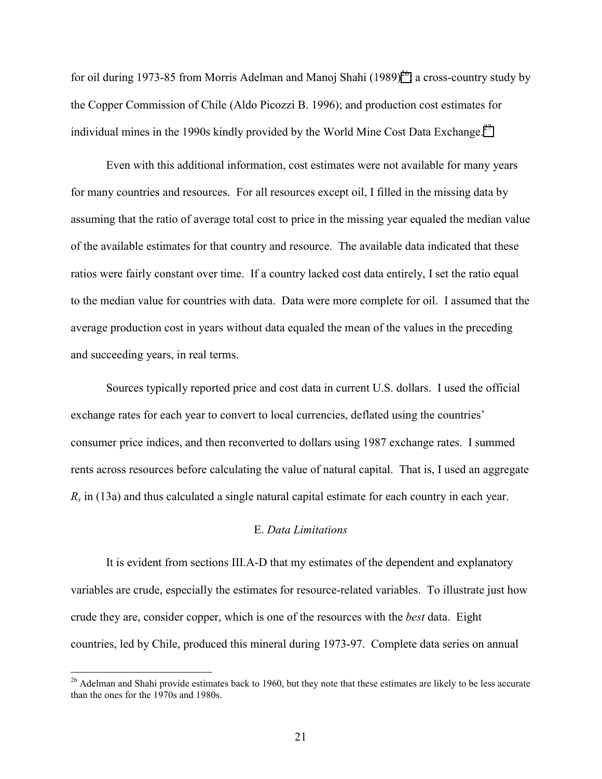for oil during 1973-85 from Morris Adelman and Manoj Shahi (1989)<sup>26</sup>; a cross-country study by the Copper Commission of Chile (Aldo Picozzi B. 1996); and production cost estimates for individual mines in the 1990s kindly provided by the World Mine Cost Data Exchange.<sup>27</sup>

Even with this additional information, cost estimates were not available for many years for many countries and resources. For all resources except oil, I filled in the missing data by assuming that the ratio of average total cost to price in the missing year equaled the median value of the available estimates for that country and resource. The available data indicated that these ratios were fairly constant over time. If a country lacked cost data entirely, I set the ratio equal to the median value for countries with data. Data were more complete for oil. I assumed that the average production cost in years without data equaled the mean of the values in the preceding and succeeding years, in real terms.

Sources typically reported price and cost data in current U.S. dollars. I used the official exchange rates for each year to convert to local currencies, deflated using the countries' consumer price indices, and then reconverted to dollars using 1987 exchange rates. I summed rents across resources before calculating the value of natural capital. That is, I used an aggregate *Rs* in (13a) and thus calculated a single natural capital estimate for each country in each year.

#### E. *Data Limitations*

It is evident from sections III.A-D that my estimates of the dependent and explanatory variables are crude, especially the estimates for resource-related variables. To illustrate just how crude they are, consider copper, which is one of the resources with the *best* data. Eight countries, led by Chile, produced this mineral during 1973-97. Complete data series on annual

<sup>&</sup>lt;sup>26</sup> Adelman and Shahi provide estimates back to 1960, but they note that these estimates are likely to be less accurate than the ones for the 1970s and 1980s.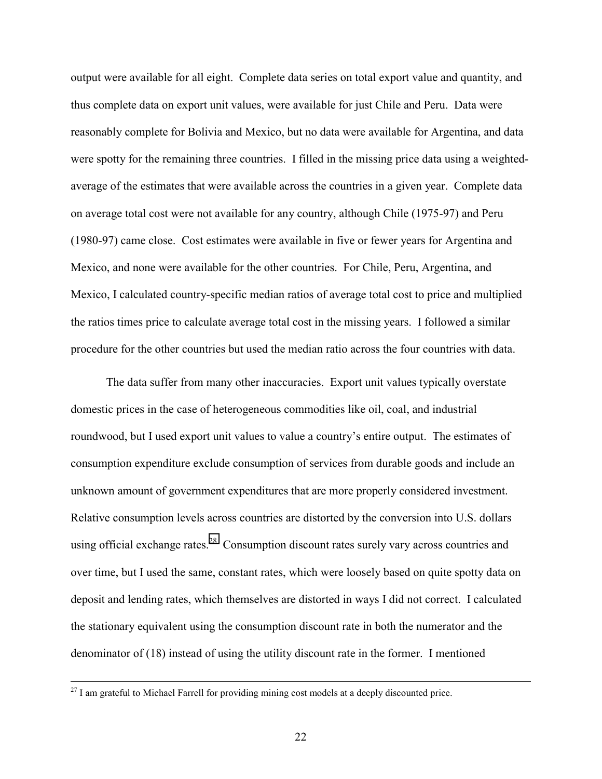output were available for all eight. Complete data series on total export value and quantity, and thus complete data on export unit values, were available for just Chile and Peru. Data were reasonably complete for Bolivia and Mexico, but no data were available for Argentina, and data were spotty for the remaining three countries. I filled in the missing price data using a weightedaverage of the estimates that were available across the countries in a given year. Complete data on average total cost were not available for any country, although Chile (1975-97) and Peru (1980-97) came close. Cost estimates were available in five or fewer years for Argentina and Mexico, and none were available for the other countries. For Chile, Peru, Argentina, and Mexico, I calculated country-specific median ratios of average total cost to price and multiplied the ratios times price to calculate average total cost in the missing years. I followed a similar procedure for the other countries but used the median ratio across the four countries with data.

The data suffer from many other inaccuracies. Export unit values typically overstate domestic prices in the case of heterogeneous commodities like oil, coal, and industrial roundwood, but I used export unit values to value a country's entire output. The estimates of consumption expenditure exclude consumption of services from durable goods and include an unknown amount of government expenditures that are more properly considered investment. Relative consumption levels across countries are distorted by the conversion into U.S. dollars using official exchange rates.<sup>28</sup> Consumption discount rates surely vary across countries and over time, but I used the same, constant rates, which were loosely based on quite spotty data on deposit and lending rates, which themselves are distorted in ways I did not correct. I calculated the stationary equivalent using the consumption discount rate in both the numerator and the denominator of (18) instead of using the utility discount rate in the former. I mentioned

<sup>&</sup>lt;sup>27</sup> I am grateful to Michael Farrell for providing mining cost models at a deeply discounted price.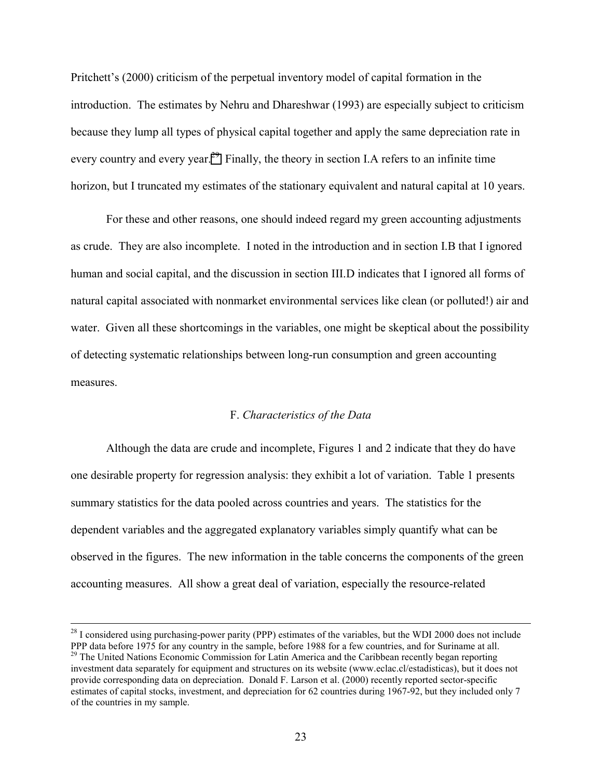Pritchett's (2000) criticism of the perpetual inventory model of capital formation in the introduction. The estimates by Nehru and Dhareshwar (1993) are especially subject to criticism because they lump all types of physical capital together and apply the same depreciation rate in every country and every year.<sup>29</sup> Finally, the theory in section I.A refers to an infinite time horizon, but I truncated my estimates of the stationary equivalent and natural capital at 10 years.

For these and other reasons, one should indeed regard my green accounting adjustments as crude. They are also incomplete. I noted in the introduction and in section I.B that I ignored human and social capital, and the discussion in section III.D indicates that I ignored all forms of natural capital associated with nonmarket environmental services like clean (or polluted!) air and water. Given all these shortcomings in the variables, one might be skeptical about the possibility of detecting systematic relationships between long-run consumption and green accounting measures.

#### F. *Characteristics of the Data*

Although the data are crude and incomplete, Figures 1 and 2 indicate that they do have one desirable property for regression analysis: they exhibit a lot of variation. Table 1 presents summary statistics for the data pooled across countries and years. The statistics for the dependent variables and the aggregated explanatory variables simply quantify what can be observed in the figures. The new information in the table concerns the components of the green accounting measures. All show a great deal of variation, especially the resource-related

<sup>&</sup>lt;sup>28</sup> I considered using purchasing-power parity (PPP) estimates of the variables, but the WDI 2000 does not include PPP data before 1975 for any country in the sample, before 1988 for a few countries, and for Suriname at all. <sup>29</sup> The United Nations Economic Commission for Latin America and the Caribbean recently began reporting investment data separately for equipment and structures on its website (www.eclac.cl/estadisticas), but it does not provide corresponding data on depreciation. Donald F. Larson et al. (2000) recently reported sector-specific estimates of capital stocks, investment, and depreciation for 62 countries during 1967-92, but they included only 7 of the countries in my sample.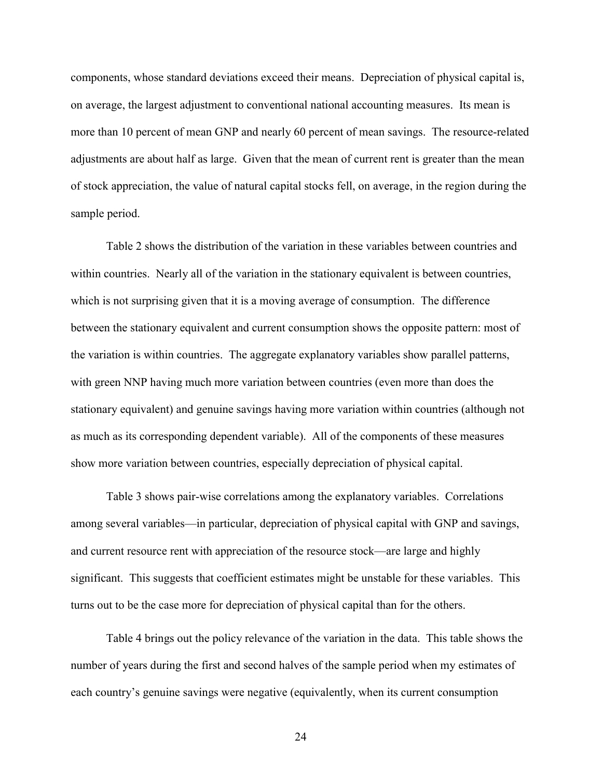components, whose standard deviations exceed their means. Depreciation of physical capital is, on average, the largest adjustment to conventional national accounting measures. Its mean is more than 10 percent of mean GNP and nearly 60 percent of mean savings. The resource-related adjustments are about half as large. Given that the mean of current rent is greater than the mean of stock appreciation, the value of natural capital stocks fell, on average, in the region during the sample period.

Table 2 shows the distribution of the variation in these variables between countries and within countries. Nearly all of the variation in the stationary equivalent is between countries, which is not surprising given that it is a moving average of consumption. The difference between the stationary equivalent and current consumption shows the opposite pattern: most of the variation is within countries. The aggregate explanatory variables show parallel patterns, with green NNP having much more variation between countries (even more than does the stationary equivalent) and genuine savings having more variation within countries (although not as much as its corresponding dependent variable). All of the components of these measures show more variation between countries, especially depreciation of physical capital.

Table 3 shows pair-wise correlations among the explanatory variables. Correlations among several variables—in particular, depreciation of physical capital with GNP and savings, and current resource rent with appreciation of the resource stock—are large and highly significant. This suggests that coefficient estimates might be unstable for these variables. This turns out to be the case more for depreciation of physical capital than for the others.

Table 4 brings out the policy relevance of the variation in the data. This table shows the number of years during the first and second halves of the sample period when my estimates of each country's genuine savings were negative (equivalently, when its current consumption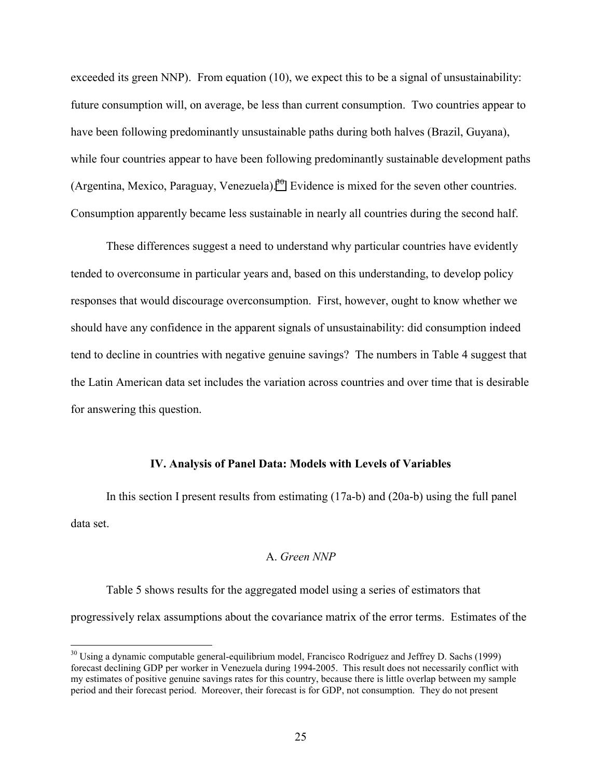exceeded its green NNP). From equation (10), we expect this to be a signal of unsustainability: future consumption will, on average, be less than current consumption. Two countries appear to have been following predominantly unsustainable paths during both halves (Brazil, Guyana), while four countries appear to have been following predominantly sustainable development paths (Argentina, Mexico, Paraguay, Venezuela).<sup>30</sup> Evidence is mixed for the seven other countries. Consumption apparently became less sustainable in nearly all countries during the second half.

These differences suggest a need to understand why particular countries have evidently tended to overconsume in particular years and, based on this understanding, to develop policy responses that would discourage overconsumption. First, however, ought to know whether we should have any confidence in the apparent signals of unsustainability: did consumption indeed tend to decline in countries with negative genuine savings? The numbers in Table 4 suggest that the Latin American data set includes the variation across countries and over time that is desirable for answering this question.

#### **IV. Analysis of Panel Data: Models with Levels of Variables**

In this section I present results from estimating (17a-b) and (20a-b) using the full panel data set.

#### A. *Green NNP*

Table 5 shows results for the aggregated model using a series of estimators that progressively relax assumptions about the covariance matrix of the error terms. Estimates of the

<u>.</u>

<sup>&</sup>lt;sup>30</sup> Using a dynamic computable general-equilibrium model, Francisco Rodríguez and Jeffrey D. Sachs (1999) forecast declining GDP per worker in Venezuela during 1994-2005. This result does not necessarily conflict with my estimates of positive genuine savings rates for this country, because there is little overlap between my sample period and their forecast period. Moreover, their forecast is for GDP, not consumption. They do not present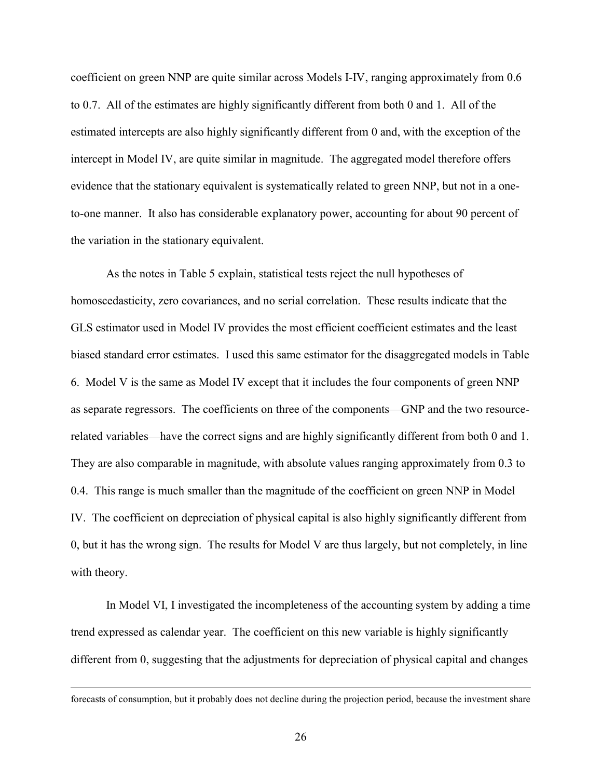coefficient on green NNP are quite similar across Models I-IV, ranging approximately from 0.6 to 0.7. All of the estimates are highly significantly different from both 0 and 1. All of the estimated intercepts are also highly significantly different from 0 and, with the exception of the intercept in Model IV, are quite similar in magnitude. The aggregated model therefore offers evidence that the stationary equivalent is systematically related to green NNP, but not in a oneto-one manner. It also has considerable explanatory power, accounting for about 90 percent of the variation in the stationary equivalent.

As the notes in Table 5 explain, statistical tests reject the null hypotheses of homoscedasticity, zero covariances, and no serial correlation. These results indicate that the GLS estimator used in Model IV provides the most efficient coefficient estimates and the least biased standard error estimates. I used this same estimator for the disaggregated models in Table 6. Model V is the same as Model IV except that it includes the four components of green NNP as separate regressors. The coefficients on three of the components—GNP and the two resourcerelated variables—have the correct signs and are highly significantly different from both 0 and 1. They are also comparable in magnitude, with absolute values ranging approximately from 0.3 to 0.4. This range is much smaller than the magnitude of the coefficient on green NNP in Model IV. The coefficient on depreciation of physical capital is also highly significantly different from 0, but it has the wrong sign. The results for Model V are thus largely, but not completely, in line with theory.

In Model VI, I investigated the incompleteness of the accounting system by adding a time trend expressed as calendar year. The coefficient on this new variable is highly significantly different from 0, suggesting that the adjustments for depreciation of physical capital and changes

forecasts of consumption, but it probably does not decline during the projection period, because the investment share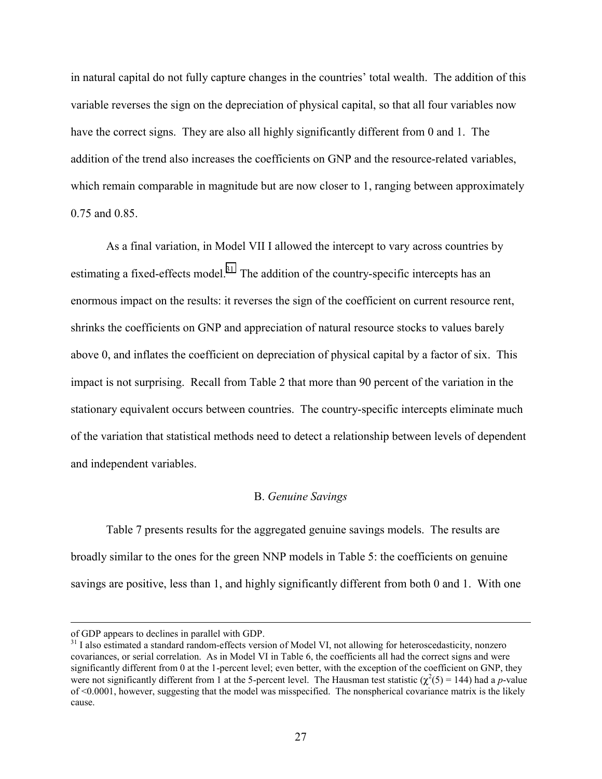in natural capital do not fully capture changes in the countries' total wealth. The addition of this variable reverses the sign on the depreciation of physical capital, so that all four variables now have the correct signs. They are also all highly significantly different from 0 and 1. The addition of the trend also increases the coefficients on GNP and the resource-related variables, which remain comparable in magnitude but are now closer to 1, ranging between approximately 0.75 and 0.85.

As a final variation, in Model VII I allowed the intercept to vary across countries by estimating a fixed-effects model.<sup>31</sup> The addition of the country-specific intercepts has an enormous impact on the results: it reverses the sign of the coefficient on current resource rent, shrinks the coefficients on GNP and appreciation of natural resource stocks to values barely above 0, and inflates the coefficient on depreciation of physical capital by a factor of six. This impact is not surprising. Recall from Table 2 that more than 90 percent of the variation in the stationary equivalent occurs between countries. The country-specific intercepts eliminate much of the variation that statistical methods need to detect a relationship between levels of dependent and independent variables.

#### B. *Genuine Savings*

Table 7 presents results for the aggregated genuine savings models. The results are broadly similar to the ones for the green NNP models in Table 5: the coefficients on genuine savings are positive, less than 1, and highly significantly different from both 0 and 1. With one

of GDP appears to declines in parallel with GDP.

<sup>&</sup>lt;sup>31</sup> I also estimated a standard random-effects version of Model VI, not allowing for heteroscedasticity, nonzero covariances, or serial correlation. As in Model VI in Table 6, the coefficients all had the correct signs and were significantly different from 0 at the 1-percent level; even better, with the exception of the coefficient on GNP, they were not significantly different from 1 at the 5-percent level. The Hausman test statistic  $(\chi^2(5) = 144)$  had a *p*-value of <0.0001, however, suggesting that the model was misspecified. The nonspherical covariance matrix is the likely cause.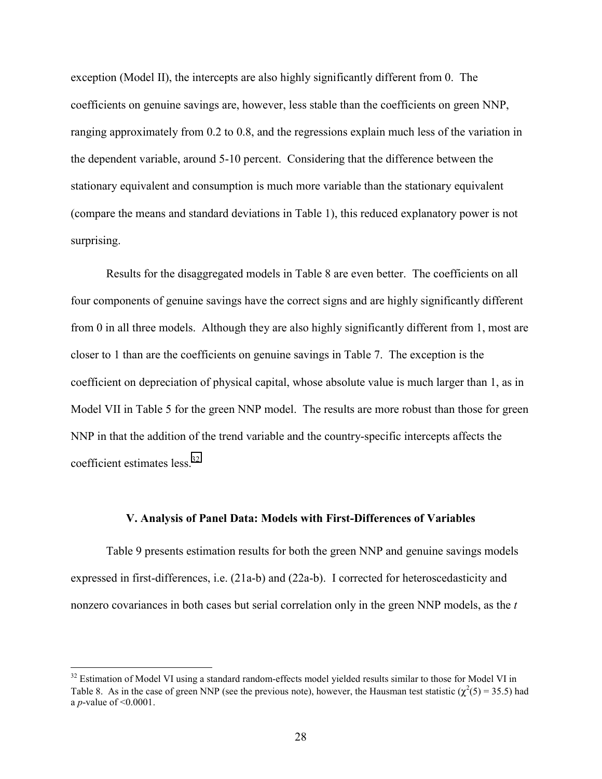exception (Model II), the intercepts are also highly significantly different from 0. The coefficients on genuine savings are, however, less stable than the coefficients on green NNP, ranging approximately from 0.2 to 0.8, and the regressions explain much less of the variation in the dependent variable, around 5-10 percent. Considering that the difference between the stationary equivalent and consumption is much more variable than the stationary equivalent (compare the means and standard deviations in Table 1), this reduced explanatory power is not surprising.

Results for the disaggregated models in Table 8 are even better. The coefficients on all four components of genuine savings have the correct signs and are highly significantly different from 0 in all three models. Although they are also highly significantly different from 1, most are closer to 1 than are the coefficients on genuine savings in Table 7. The exception is the coefficient on depreciation of physical capital, whose absolute value is much larger than 1, as in Model VII in Table 5 for the green NNP model. The results are more robust than those for green NNP in that the addition of the trend variable and the country-specific intercepts affects the coefficient estimates less.<sup>32</sup>

#### **V. Analysis of Panel Data: Models with First-Differences of Variables**

Table 9 presents estimation results for both the green NNP and genuine savings models expressed in first-differences, i.e. (21a-b) and (22a-b). I corrected for heteroscedasticity and nonzero covariances in both cases but serial correlation only in the green NNP models, as the *t*

<sup>&</sup>lt;sup>32</sup> Estimation of Model VI using a standard random-effects model yielded results similar to those for Model VI in Table 8. As in the case of green NNP (see the previous note), however, the Hausman test statistic ( $\chi^2(5) = 35.5$ ) had a *p*-value of <0.0001.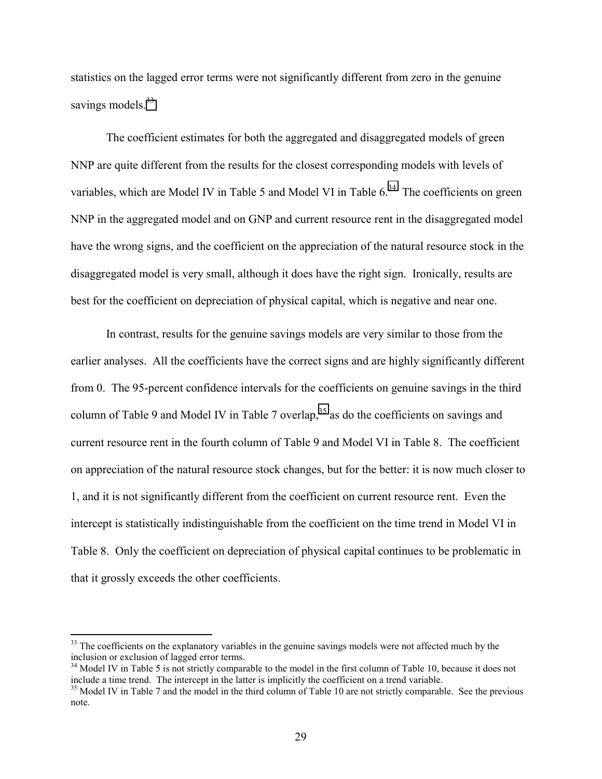statistics on the lagged error terms were not significantly different from zero in the genuine savings models.<sup>33</sup>

The coefficient estimates for both the aggregated and disaggregated models of green NNP are quite different from the results for the closest corresponding models with levels of variables, which are Model IV in Table 5 and Model VI in Table  $6<sup>34</sup>$  The coefficients on green NNP in the aggregated model and on GNP and current resource rent in the disaggregated model have the wrong signs, and the coefficient on the appreciation of the natural resource stock in the disaggregated model is very small, although it does have the right sign. Ironically, results are best for the coefficient on depreciation of physical capital, which is negative and near one.

In contrast, results for the genuine savings models are very similar to those from the earlier analyses. All the coefficients have the correct signs and are highly significantly different from 0. The 95-percent confidence intervals for the coefficients on genuine savings in the third column of Table 9 and Model IV in Table 7 overlap,  $35$  as do the coefficients on savings and current resource rent in the fourth column of Table 9 and Model VI in Table 8. The coefficient on appreciation of the natural resource stock changes, but for the better: it is now much closer to 1, and it is not significantly different from the coefficient on current resource rent. Even the intercept is statistically indistinguishable from the coefficient on the time trend in Model VI in Table 8. Only the coefficient on depreciation of physical capital continues to be problematic in that it grossly exceeds the other coefficients.

<u>.</u>

<sup>&</sup>lt;sup>33</sup> The coefficients on the explanatory variables in the genuine savings models were not affected much by the inclusion or exclusion of lagged error terms.

<sup>&</sup>lt;sup>34</sup> Model IV in Table 5 is not strictly comparable to the model in the first column of Table 10, because it does not include a time trend. The intercept in the latter is implicitly the coefficient on a trend variable.

<sup>&</sup>lt;sup>35</sup> Model IV in Table 7 and the model in the third column of Table 10 are not strictly comparable. See the previous note.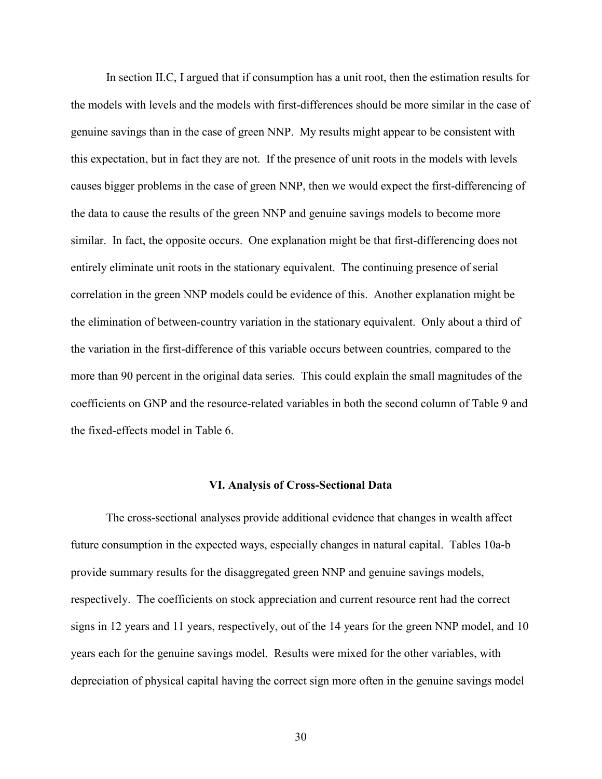In section II.C, I argued that if consumption has a unit root, then the estimation results for the models with levels and the models with first-differences should be more similar in the case of genuine savings than in the case of green NNP. My results might appear to be consistent with this expectation, but in fact they are not. If the presence of unit roots in the models with levels causes bigger problems in the case of green NNP, then we would expect the first-differencing of the data to cause the results of the green NNP and genuine savings models to become more similar. In fact, the opposite occurs. One explanation might be that first-differencing does not entirely eliminate unit roots in the stationary equivalent. The continuing presence of serial correlation in the green NNP models could be evidence of this. Another explanation might be the elimination of between-country variation in the stationary equivalent. Only about a third of the variation in the first-difference of this variable occurs between countries, compared to the more than 90 percent in the original data series. This could explain the small magnitudes of the coefficients on GNP and the resource-related variables in both the second column of Table 9 and the fixed-effects model in Table 6.

#### **VI. Analysis of Cross-Sectional Data**

The cross-sectional analyses provide additional evidence that changes in wealth affect future consumption in the expected ways, especially changes in natural capital. Tables 10a-b provide summary results for the disaggregated green NNP and genuine savings models, respectively. The coefficients on stock appreciation and current resource rent had the correct signs in 12 years and 11 years, respectively, out of the 14 years for the green NNP model, and 10 years each for the genuine savings model. Results were mixed for the other variables, with depreciation of physical capital having the correct sign more often in the genuine savings model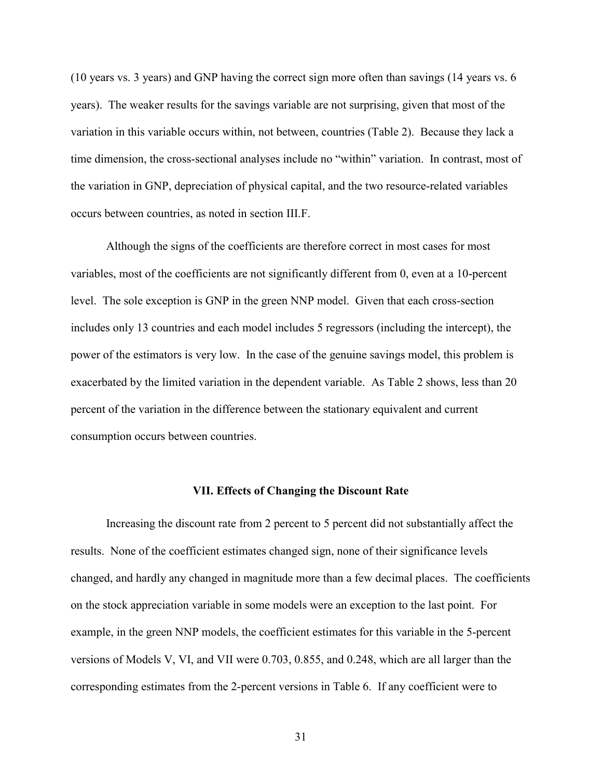(10 years vs. 3 years) and GNP having the correct sign more often than savings (14 years vs. 6 years). The weaker results for the savings variable are not surprising, given that most of the variation in this variable occurs within, not between, countries (Table 2). Because they lack a time dimension, the cross-sectional analyses include no "within" variation. In contrast, most of the variation in GNP, depreciation of physical capital, and the two resource-related variables occurs between countries, as noted in section III.F.

Although the signs of the coefficients are therefore correct in most cases for most variables, most of the coefficients are not significantly different from 0, even at a 10-percent level. The sole exception is GNP in the green NNP model. Given that each cross-section includes only 13 countries and each model includes 5 regressors (including the intercept), the power of the estimators is very low. In the case of the genuine savings model, this problem is exacerbated by the limited variation in the dependent variable. As Table 2 shows, less than 20 percent of the variation in the difference between the stationary equivalent and current consumption occurs between countries.

#### **VII. Effects of Changing the Discount Rate**

Increasing the discount rate from 2 percent to 5 percent did not substantially affect the results. None of the coefficient estimates changed sign, none of their significance levels changed, and hardly any changed in magnitude more than a few decimal places. The coefficients on the stock appreciation variable in some models were an exception to the last point. For example, in the green NNP models, the coefficient estimates for this variable in the 5-percent versions of Models V, VI, and VII were 0.703, 0.855, and 0.248, which are all larger than the corresponding estimates from the 2-percent versions in Table 6. If any coefficient were to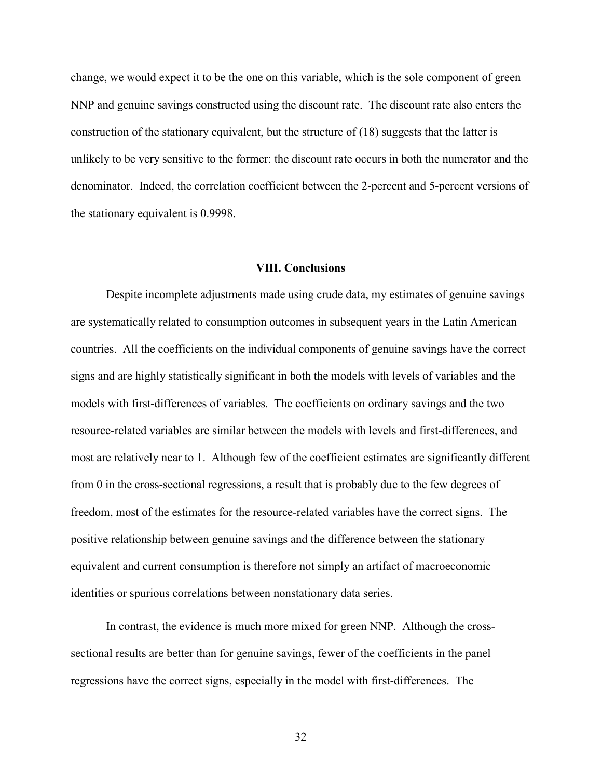change, we would expect it to be the one on this variable, which is the sole component of green NNP and genuine savings constructed using the discount rate. The discount rate also enters the construction of the stationary equivalent, but the structure of (18) suggests that the latter is unlikely to be very sensitive to the former: the discount rate occurs in both the numerator and the denominator. Indeed, the correlation coefficient between the 2-percent and 5-percent versions of the stationary equivalent is 0.9998.

#### **VIII. Conclusions**

Despite incomplete adjustments made using crude data, my estimates of genuine savings are systematically related to consumption outcomes in subsequent years in the Latin American countries. All the coefficients on the individual components of genuine savings have the correct signs and are highly statistically significant in both the models with levels of variables and the models with first-differences of variables. The coefficients on ordinary savings and the two resource-related variables are similar between the models with levels and first-differences, and most are relatively near to 1. Although few of the coefficient estimates are significantly different from 0 in the cross-sectional regressions, a result that is probably due to the few degrees of freedom, most of the estimates for the resource-related variables have the correct signs. The positive relationship between genuine savings and the difference between the stationary equivalent and current consumption is therefore not simply an artifact of macroeconomic identities or spurious correlations between nonstationary data series.

In contrast, the evidence is much more mixed for green NNP. Although the crosssectional results are better than for genuine savings, fewer of the coefficients in the panel regressions have the correct signs, especially in the model with first-differences. The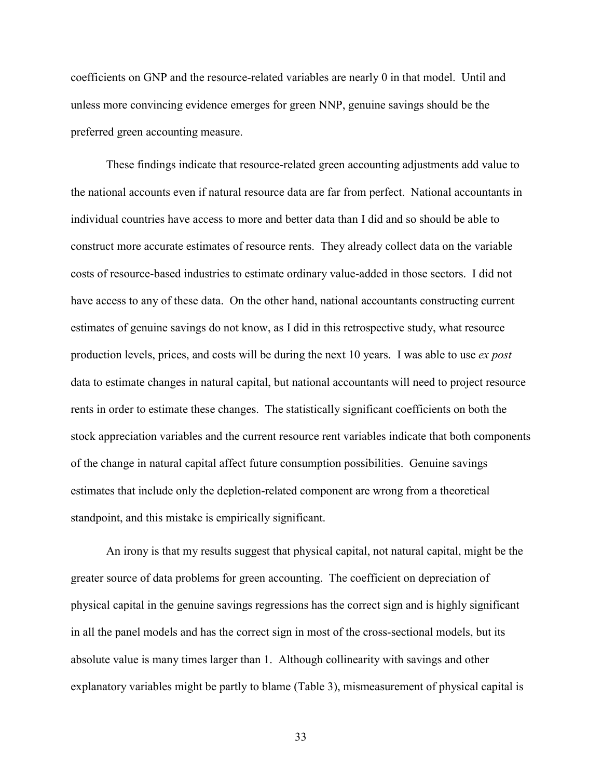coefficients on GNP and the resource-related variables are nearly 0 in that model. Until and unless more convincing evidence emerges for green NNP, genuine savings should be the preferred green accounting measure.

These findings indicate that resource-related green accounting adjustments add value to the national accounts even if natural resource data are far from perfect. National accountants in individual countries have access to more and better data than I did and so should be able to construct more accurate estimates of resource rents. They already collect data on the variable costs of resource-based industries to estimate ordinary value-added in those sectors. I did not have access to any of these data. On the other hand, national accountants constructing current estimates of genuine savings do not know, as I did in this retrospective study, what resource production levels, prices, and costs will be during the next 10 years. I was able to use *ex post* data to estimate changes in natural capital, but national accountants will need to project resource rents in order to estimate these changes. The statistically significant coefficients on both the stock appreciation variables and the current resource rent variables indicate that both components of the change in natural capital affect future consumption possibilities. Genuine savings estimates that include only the depletion-related component are wrong from a theoretical standpoint, and this mistake is empirically significant.

An irony is that my results suggest that physical capital, not natural capital, might be the greater source of data problems for green accounting. The coefficient on depreciation of physical capital in the genuine savings regressions has the correct sign and is highly significant in all the panel models and has the correct sign in most of the cross-sectional models, but its absolute value is many times larger than 1. Although collinearity with savings and other explanatory variables might be partly to blame (Table 3), mismeasurement of physical capital is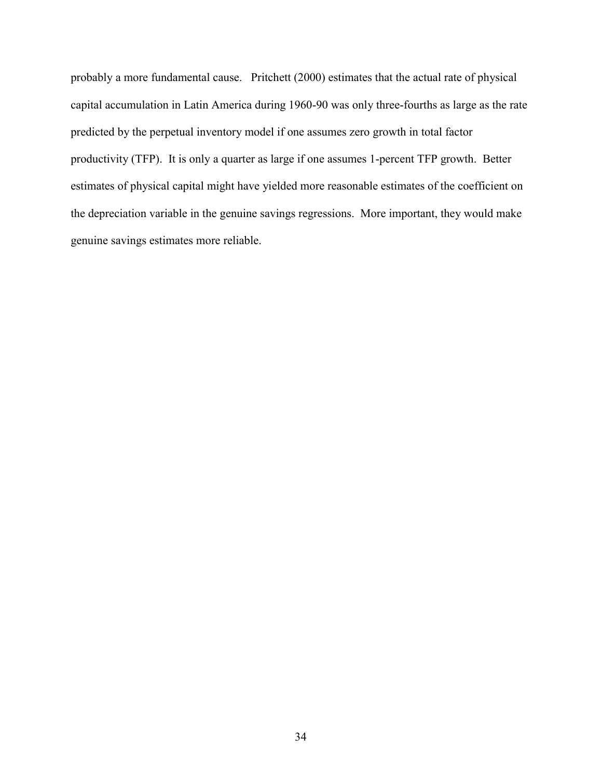probably a more fundamental cause. Pritchett (2000) estimates that the actual rate of physical capital accumulation in Latin America during 1960-90 was only three-fourths as large as the rate predicted by the perpetual inventory model if one assumes zero growth in total factor productivity (TFP). It is only a quarter as large if one assumes 1-percent TFP growth. Better estimates of physical capital might have yielded more reasonable estimates of the coefficient on the depreciation variable in the genuine savings regressions. More important, they would make genuine savings estimates more reliable.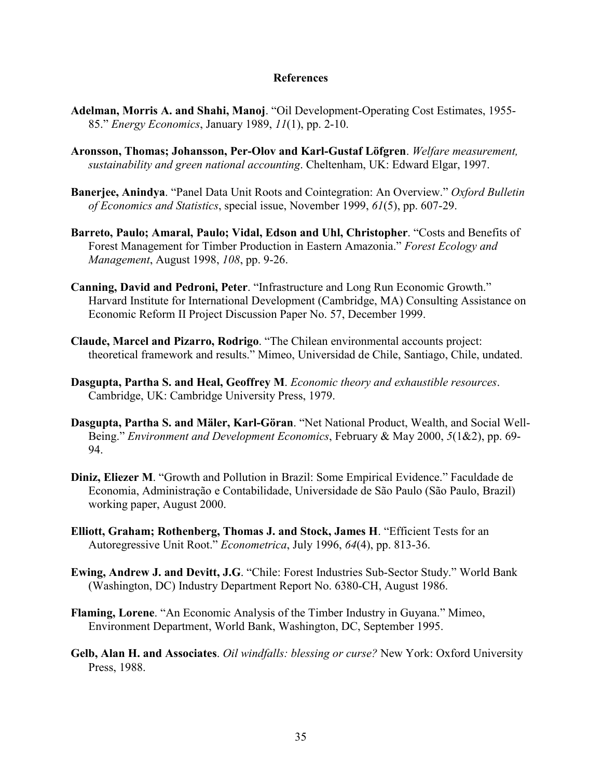#### **References**

- **Adelman, Morris A. and Shahi, Manoj**. "Oil Development-Operating Cost Estimates, 1955- 85." *Energy Economics*, January 1989, *11*(1), pp. 2-10.
- **Aronsson, Thomas; Johansson, Per-Olov and Karl-Gustaf Löfgren**. *Welfare measurement, sustainability and green national accounting*. Cheltenham, UK: Edward Elgar, 1997.
- **Banerjee, Anindya**. "Panel Data Unit Roots and Cointegration: An Overview." *Oxford Bulletin of Economics and Statistics*, special issue, November 1999, *61*(5), pp. 607-29.
- **Barreto, Paulo; Amaral, Paulo; Vidal, Edson and Uhl, Christopher**. "Costs and Benefits of Forest Management for Timber Production in Eastern Amazonia." *Forest Ecology and Management*, August 1998, *108*, pp. 9-26.
- **Canning, David and Pedroni, Peter**. "Infrastructure and Long Run Economic Growth." Harvard Institute for International Development (Cambridge, MA) Consulting Assistance on Economic Reform II Project Discussion Paper No. 57, December 1999.
- **Claude, Marcel and Pizarro, Rodrigo**. "The Chilean environmental accounts project: theoretical framework and results." Mimeo, Universidad de Chile, Santiago, Chile, undated.
- **Dasgupta, Partha S. and Heal, Geoffrey M**. *Economic theory and exhaustible resources*. Cambridge, UK: Cambridge University Press, 1979.
- **Dasgupta, Partha S. and Mäler, Karl-Göran**. "Net National Product, Wealth, and Social Well-Being." *Environment and Development Economics*, February & May 2000, *5*(1&2), pp. 69- 94.
- **Diniz, Eliezer M**. "Growth and Pollution in Brazil: Some Empirical Evidence." Faculdade de Economia, Administração e Contabilidade, Universidade de São Paulo (São Paulo, Brazil) working paper, August 2000.
- **Elliott, Graham; Rothenberg, Thomas J. and Stock, James H**. "Efficient Tests for an Autoregressive Unit Root." *Econometrica*, July 1996, *64*(4), pp. 813-36.
- **Ewing, Andrew J. and Devitt, J.G**. "Chile: Forest Industries Sub-Sector Study." World Bank (Washington, DC) Industry Department Report No. 6380-CH, August 1986.
- **Flaming, Lorene**. "An Economic Analysis of the Timber Industry in Guyana." Mimeo, Environment Department, World Bank, Washington, DC, September 1995.
- **Gelb, Alan H. and Associates**. *Oil windfalls: blessing or curse?* New York: Oxford University Press, 1988.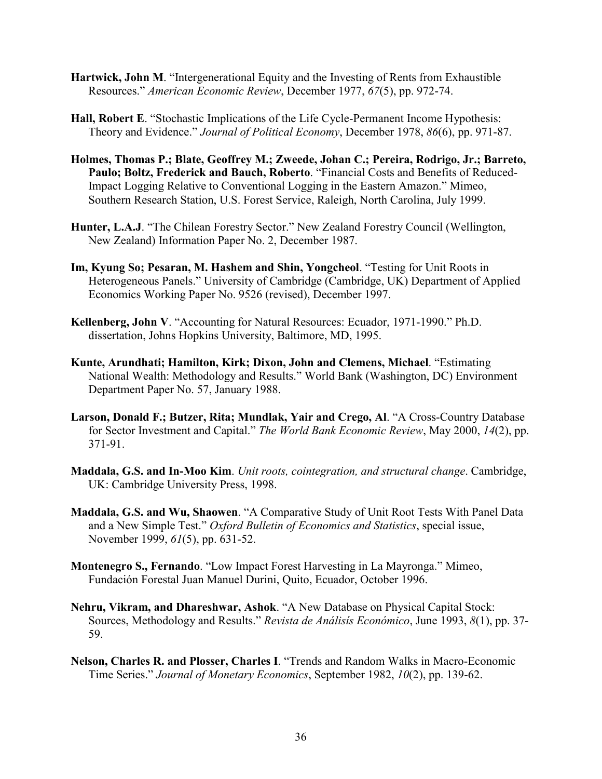- **Hartwick, John M**. "Intergenerational Equity and the Investing of Rents from Exhaustible Resources." *American Economic Review*, December 1977, *67*(5), pp. 972-74.
- **Hall, Robert E**. "Stochastic Implications of the Life Cycle-Permanent Income Hypothesis: Theory and Evidence." *Journal of Political Economy*, December 1978, *86*(6), pp. 971-87.
- **Holmes, Thomas P.; Blate, Geoffrey M.; Zweede, Johan C.; Pereira, Rodrigo, Jr.; Barreto, Paulo; Boltz, Frederick and Bauch, Roberto**. "Financial Costs and Benefits of Reduced-Impact Logging Relative to Conventional Logging in the Eastern Amazon." Mimeo, Southern Research Station, U.S. Forest Service, Raleigh, North Carolina, July 1999.
- **Hunter, L.A.J**. "The Chilean Forestry Sector." New Zealand Forestry Council (Wellington, New Zealand) Information Paper No. 2, December 1987.
- **Im, Kyung So; Pesaran, M. Hashem and Shin, Yongcheol**. "Testing for Unit Roots in Heterogeneous Panels." University of Cambridge (Cambridge, UK) Department of Applied Economics Working Paper No. 9526 (revised), December 1997.
- **Kellenberg, John V**. "Accounting for Natural Resources: Ecuador, 1971-1990." Ph.D. dissertation, Johns Hopkins University, Baltimore, MD, 1995.
- **Kunte, Arundhati; Hamilton, Kirk; Dixon, John and Clemens, Michael**. "Estimating National Wealth: Methodology and Results." World Bank (Washington, DC) Environment Department Paper No. 57, January 1988.
- **Larson, Donald F.; Butzer, Rita; Mundlak, Yair and Crego, Al**. "A Cross-Country Database for Sector Investment and Capital." *The World Bank Economic Review*, May 2000, *14*(2), pp. 371-91.
- **Maddala, G.S. and In-Moo Kim**. *Unit roots, cointegration, and structural change*. Cambridge, UK: Cambridge University Press, 1998.
- **Maddala, G.S. and Wu, Shaowen**. "A Comparative Study of Unit Root Tests With Panel Data and a New Simple Test." *Oxford Bulletin of Economics and Statistics*, special issue, November 1999, *61*(5), pp. 631-52.
- **Montenegro S., Fernando**. "Low Impact Forest Harvesting in La Mayronga." Mimeo, Fundación Forestal Juan Manuel Durini, Quito, Ecuador, October 1996.
- **Nehru, Vikram, and Dhareshwar, Ashok**. "A New Database on Physical Capital Stock: Sources, Methodology and Results." *Revista de Análisís Económico*, June 1993, *8*(1), pp. 37- 59.
- **Nelson, Charles R. and Plosser, Charles I**. "Trends and Random Walks in Macro-Economic Time Series." *Journal of Monetary Economics*, September 1982, *10*(2), pp. 139-62.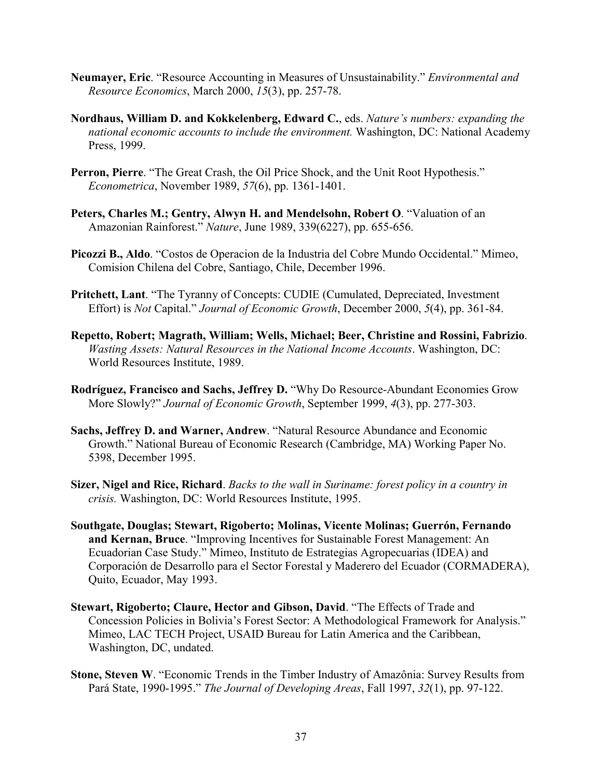- **Neumayer, Eric**. "Resource Accounting in Measures of Unsustainability." *Environmental and Resource Economics*, March 2000, *15*(3), pp. 257-78.
- **Nordhaus, William D. and Kokkelenberg, Edward C.**, eds. *Nature's numbers: expanding the national economic accounts to include the environment.* Washington, DC: National Academy Press, 1999.
- **Perron, Pierre**. "The Great Crash, the Oil Price Shock, and the Unit Root Hypothesis." *Econometrica*, November 1989, *57*(6), pp. 1361-1401.
- **Peters, Charles M.; Gentry, Alwyn H. and Mendelsohn, Robert O**. "Valuation of an Amazonian Rainforest." *Nature*, June 1989, 339(6227), pp. 655-656.
- **Picozzi B., Aldo**. "Costos de Operacion de la Industria del Cobre Mundo Occidental." Mimeo, Comision Chilena del Cobre, Santiago, Chile, December 1996.
- **Pritchett, Lant**. "The Tyranny of Concepts: CUDIE (Cumulated, Depreciated, Investment Effort) is *Not* Capital." *Journal of Economic Growth*, December 2000, *5*(4), pp. 361-84.
- **Repetto, Robert; Magrath, William; Wells, Michael; Beer, Christine and Rossini, Fabrizio**. *Wasting Assets: Natural Resources in the National Income Accounts*. Washington, DC: World Resources Institute, 1989.
- **Rodríguez, Francisco and Sachs, Jeffrey D.** "Why Do Resource-Abundant Economies Grow More Slowly?" *Journal of Economic Growth*, September 1999, *4*(3), pp. 277-303.
- **Sachs, Jeffrey D. and Warner, Andrew**. "Natural Resource Abundance and Economic Growth." National Bureau of Economic Research (Cambridge, MA) Working Paper No. 5398, December 1995.
- **Sizer, Nigel and Rice, Richard**. *Backs to the wall in Suriname: forest policy in a country in crisis.* Washington, DC: World Resources Institute, 1995.
- **Southgate, Douglas; Stewart, Rigoberto; Molinas, Vicente Molinas; Guerrón, Fernando and Kernan, Bruce**. "Improving Incentives for Sustainable Forest Management: An Ecuadorian Case Study." Mimeo, Instituto de Estrategias Agropecuarias (IDEA) and Corporación de Desarrollo para el Sector Forestal y Maderero del Ecuador (CORMADERA), Quito, Ecuador, May 1993.
- **Stewart, Rigoberto; Claure, Hector and Gibson, David**. "The Effects of Trade and Concession Policies in Bolivia's Forest Sector: A Methodological Framework for Analysis." Mimeo, LAC TECH Project, USAID Bureau for Latin America and the Caribbean, Washington, DC, undated.
- **Stone, Steven W**. "Economic Trends in the Timber Industry of Amazônia: Survey Results from Pará State, 1990-1995." *The Journal of Developing Areas*, Fall 1997, *32*(1), pp. 97-122.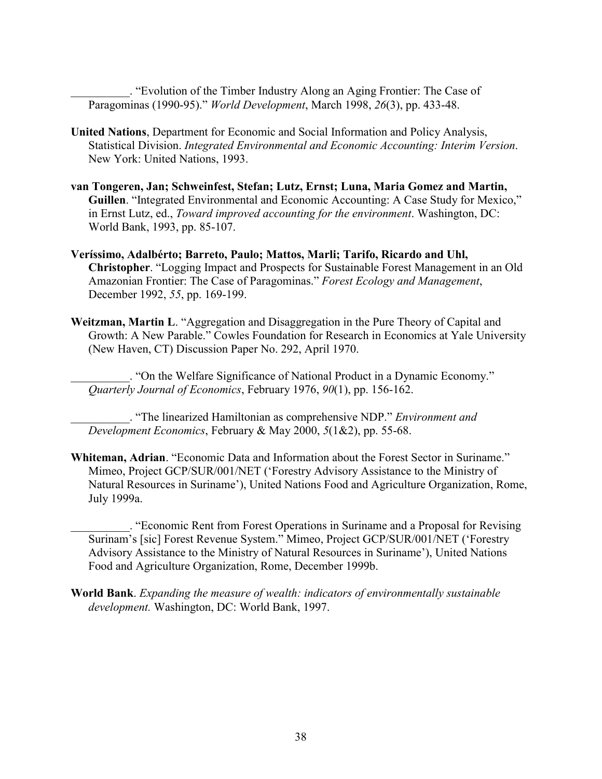\_\_\_\_\_\_\_\_\_\_. "Evolution of the Timber Industry Along an Aging Frontier: The Case of Paragominas (1990-95)." *World Development*, March 1998, *26*(3), pp. 433-48.

- **United Nations**, Department for Economic and Social Information and Policy Analysis, Statistical Division. *Integrated Environmental and Economic Accounting: Interim Version*. New York: United Nations, 1993.
- **van Tongeren, Jan; Schweinfest, Stefan; Lutz, Ernst; Luna, Maria Gomez and Martin, Guillen**. "Integrated Environmental and Economic Accounting: A Case Study for Mexico," in Ernst Lutz, ed., *Toward improved accounting for the environment*. Washington, DC: World Bank, 1993, pp. 85-107.
- **Veríssimo, Adalbérto; Barreto, Paulo; Mattos, Marli; Tarifo, Ricardo and Uhl, Christopher**. "Logging Impact and Prospects for Sustainable Forest Management in an Old Amazonian Frontier: The Case of Paragominas." *Forest Ecology and Management*, December 1992, *55*, pp. 169-199.
- **Weitzman, Martin L**. "Aggregation and Disaggregation in the Pure Theory of Capital and Growth: A New Parable." Cowles Foundation for Research in Economics at Yale University (New Haven, CT) Discussion Paper No. 292, April 1970.

\_\_\_\_\_\_\_\_\_\_. "On the Welfare Significance of National Product in a Dynamic Economy." *Quarterly Journal of Economics*, February 1976, *90*(1), pp. 156-162.

\_\_\_\_\_\_\_\_\_\_. "The linearized Hamiltonian as comprehensive NDP." *Environment and Development Economics*, February & May 2000, *5*(1&2), pp. 55-68.

**Whiteman, Adrian**. "Economic Data and Information about the Forest Sector in Suriname." Mimeo, Project GCP/SUR/001/NET ('Forestry Advisory Assistance to the Ministry of Natural Resources in Suriname'), United Nations Food and Agriculture Organization, Rome, July 1999a.

\_\_\_\_\_\_\_\_\_\_. "Economic Rent from Forest Operations in Suriname and a Proposal for Revising Surinam's [sic] Forest Revenue System." Mimeo, Project GCP/SUR/001/NET ('Forestry Advisory Assistance to the Ministry of Natural Resources in Suriname'), United Nations Food and Agriculture Organization, Rome, December 1999b.

**World Bank**. *Expanding the measure of wealth: indicators of environmentally sustainable development.* Washington, DC: World Bank, 1997.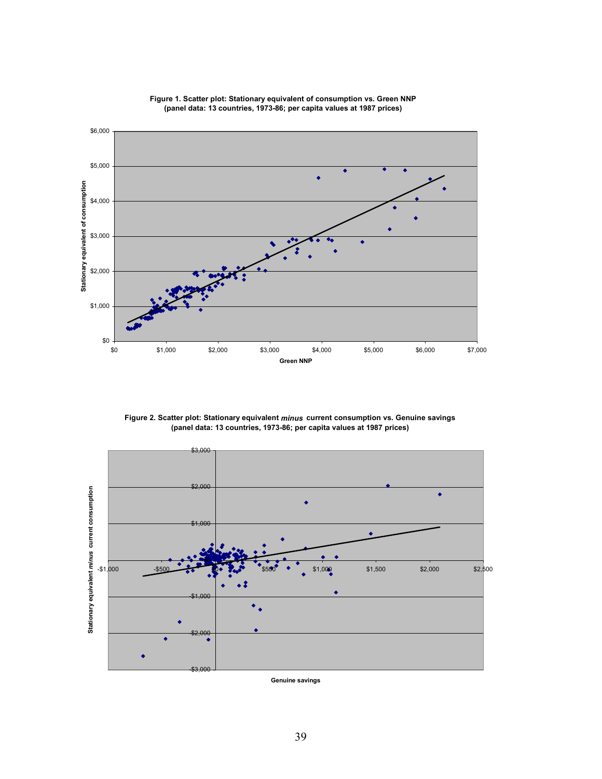

**Figure 1. Scatter plot: Stationary equivalent of consumption vs. Green NNP (panel data: 13 countries, 1973-86; per capita values at 1987 prices)**

**Figure 2. Scatter plot: Stationary equivalent** *minus* **current consumption vs. Genuine savings (panel data: 13 countries, 1973-86; per capita values at 1987 prices)**



**Genuine savings**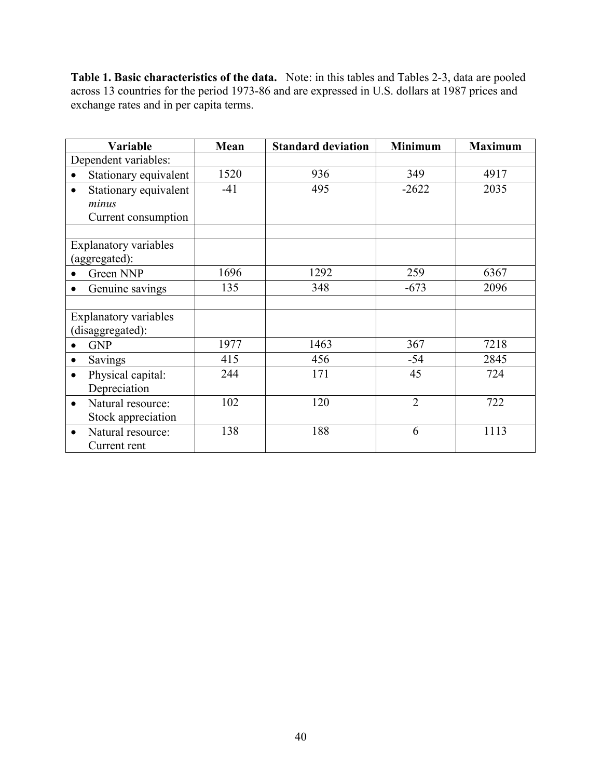**Table 1. Basic characteristics of the data.** Note: in this tables and Tables 2-3, data are pooled across 13 countries for the period 1973-86 and are expressed in U.S. dollars at 1987 prices and exchange rates and in per capita terms.

| Variable                           | Mean  | <b>Standard deviation</b> | <b>Minimum</b> | <b>Maximum</b> |
|------------------------------------|-------|---------------------------|----------------|----------------|
| Dependent variables:               |       |                           |                |                |
| Stationary equivalent<br>$\bullet$ | 1520  | 936                       | 349            | 4917           |
| Stationary equivalent<br>$\bullet$ | $-41$ | 495                       | $-2622$        | 2035           |
| minus                              |       |                           |                |                |
| Current consumption                |       |                           |                |                |
|                                    |       |                           |                |                |
| <b>Explanatory variables</b>       |       |                           |                |                |
| (aggregated):                      |       |                           |                |                |
| Green NNP                          | 1696  | 1292                      | 259            | 6367           |
| Genuine savings                    | 135   | 348                       | $-673$         | 2096           |
|                                    |       |                           |                |                |
| <b>Explanatory variables</b>       |       |                           |                |                |
| (disaggregated):                   |       |                           |                |                |
| <b>GNP</b>                         | 1977  | 1463                      | 367            | 7218           |
| Savings<br>$\bullet$               | 415   | 456                       | $-54$          | 2845           |
| Physical capital:<br>$\bullet$     | 244   | 171                       | 45             | 724            |
| Depreciation                       |       |                           |                |                |
| Natural resource:<br>$\bullet$     | 102   | 120                       | $\overline{2}$ | 722            |
| Stock appreciation                 |       |                           |                |                |
| Natural resource:<br>$\bullet$     | 138   | 188                       | 6              | 1113           |
| Current rent                       |       |                           |                |                |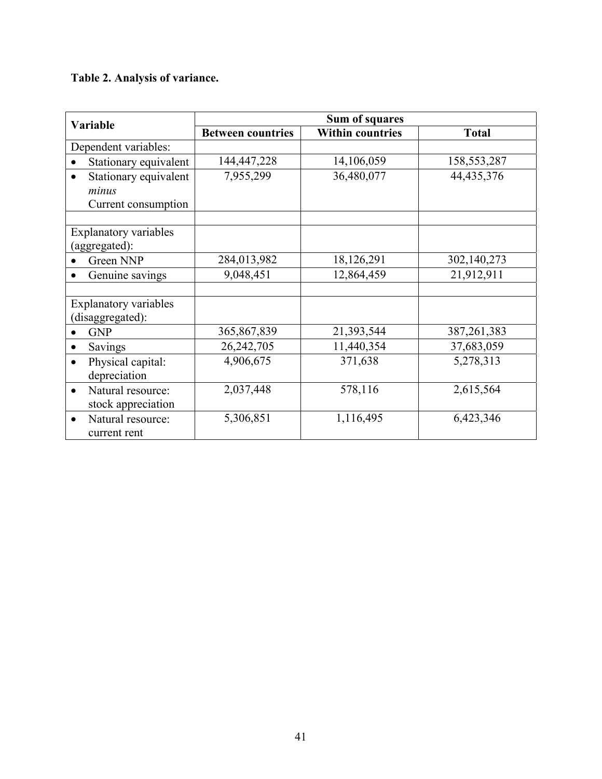# **Table 2. Analysis of variance.**

| <b>Variable</b>                                       |                          | <b>Sum of squares</b>   |               |  |  |  |  |
|-------------------------------------------------------|--------------------------|-------------------------|---------------|--|--|--|--|
|                                                       | <b>Between countries</b> | <b>Within countries</b> | <b>Total</b>  |  |  |  |  |
| Dependent variables:                                  |                          |                         |               |  |  |  |  |
| Stationary equivalent                                 | 144,447,228              | 14,106,059              | 158, 553, 287 |  |  |  |  |
| Stationary equivalent<br>minus<br>Current consumption | 7,955,299                | 36,480,077              | 44, 435, 376  |  |  |  |  |
| <b>Explanatory variables</b><br>(aggregated):         |                          |                         |               |  |  |  |  |
| Green NNP                                             | 284,013,982              | 18,126,291              | 302,140,273   |  |  |  |  |
| Genuine savings                                       | 9,048,451                | 12,864,459              | 21,912,911    |  |  |  |  |
| <b>Explanatory variables</b><br>(disaggregated):      |                          |                         |               |  |  |  |  |
| <b>GNP</b>                                            | 365,867,839              | 21,393,544              | 387, 261, 383 |  |  |  |  |
| Savings<br>$\bullet$                                  | 26,242,705               | 11,440,354              | 37,683,059    |  |  |  |  |
| Physical capital:<br>$\bullet$<br>depreciation        | 4,906,675                | 371,638                 | 5,278,313     |  |  |  |  |
| Natural resource:<br>$\bullet$<br>stock appreciation  | 2,037,448                | 578,116                 | 2,615,564     |  |  |  |  |
| Natural resource:<br>$\bullet$<br>current rent        | 5,306,851                | 1,116,495               | 6,423,346     |  |  |  |  |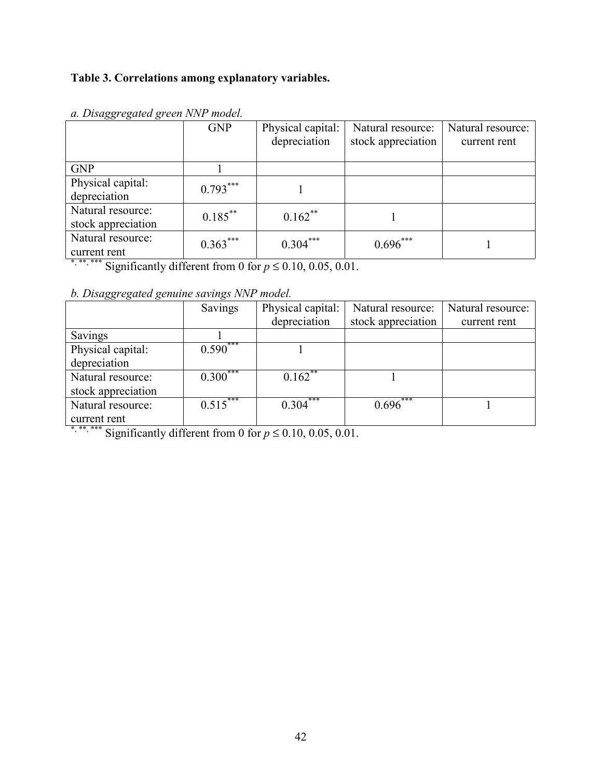# **Table 3. Correlations among explanatory variables.**

| ິ                  | <b>GNP</b> | Physical capital: | Natural resource:  | Natural resource: |
|--------------------|------------|-------------------|--------------------|-------------------|
|                    |            | depreciation      | stock appreciation | current rent      |
|                    |            |                   |                    |                   |
| <b>GNP</b>         |            |                   |                    |                   |
| Physical capital:  | $0.793***$ |                   |                    |                   |
| depreciation       |            |                   |                    |                   |
| Natural resource:  | $0.185***$ | $0.162$ **        |                    |                   |
| stock appreciation |            |                   |                    |                   |
| Natural resource:  | $0.363***$ | $0.304***$        | $0.696***$         |                   |
| current rent<br>.  |            |                   |                    |                   |

*a. Disaggregated green NNP model.*

\*, \*\*\*, \*\*\* Significantly different from 0 for  $p \le 0.10, 0.05, 0.01$ .

*b. Disaggregated genuine savings NNP model.*

|                    | Savings    | Physical capital: | Natural resource:        | Natural resource: |
|--------------------|------------|-------------------|--------------------------|-------------------|
|                    |            | depreciation      | stock appreciation       | current rent      |
| Savings            |            |                   |                          |                   |
| Physical capital:  | $0.590***$ |                   |                          |                   |
| depreciation       |            |                   |                          |                   |
| Natural resource:  | $0.300***$ | $0.162$ **        |                          |                   |
| stock appreciation |            |                   |                          |                   |
| Natural resource:  | $0.515***$ | 0.304             | ***<br>$0.696^{\degree}$ |                   |
| current rent       |            |                   |                          |                   |

\*, \*\*, \*\*\* Significantly different from 0 for  $p \le 0.10, 0.05, 0.01$ .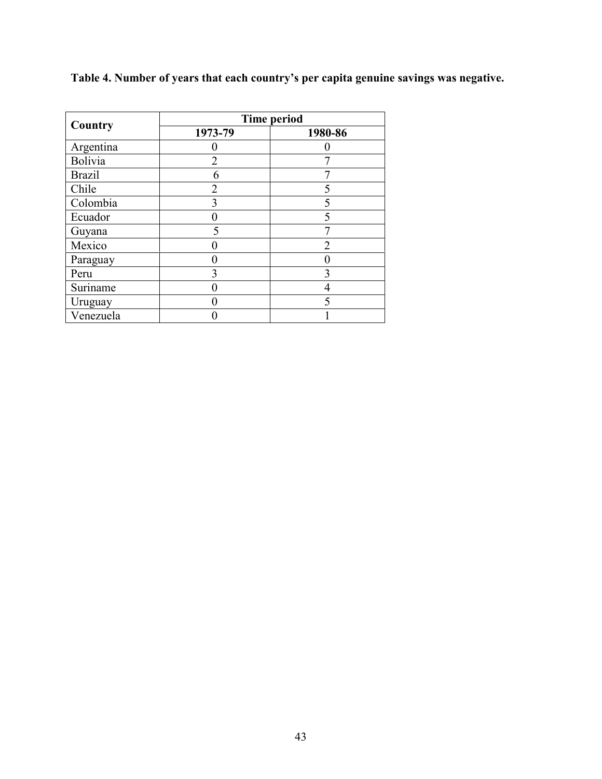|               | <b>Time period</b> |         |  |  |  |
|---------------|--------------------|---------|--|--|--|
| Country       | 1973-79            | 1980-86 |  |  |  |
| Argentina     |                    |         |  |  |  |
| Bolivia       | $\mathfrak{D}$     |         |  |  |  |
| <b>Brazil</b> | 6                  |         |  |  |  |
| Chile         | 2                  |         |  |  |  |
| Colombia      | 3                  |         |  |  |  |
| Ecuador       |                    |         |  |  |  |
| Guyana        | 5                  |         |  |  |  |
| Mexico        |                    |         |  |  |  |
| Paraguay      |                    |         |  |  |  |
| Peru          |                    |         |  |  |  |
| Suriname      |                    |         |  |  |  |
| Uruguay       |                    |         |  |  |  |
| Venezuela     |                    |         |  |  |  |

**Table 4. Number of years that each country's per capita genuine savings was negative.**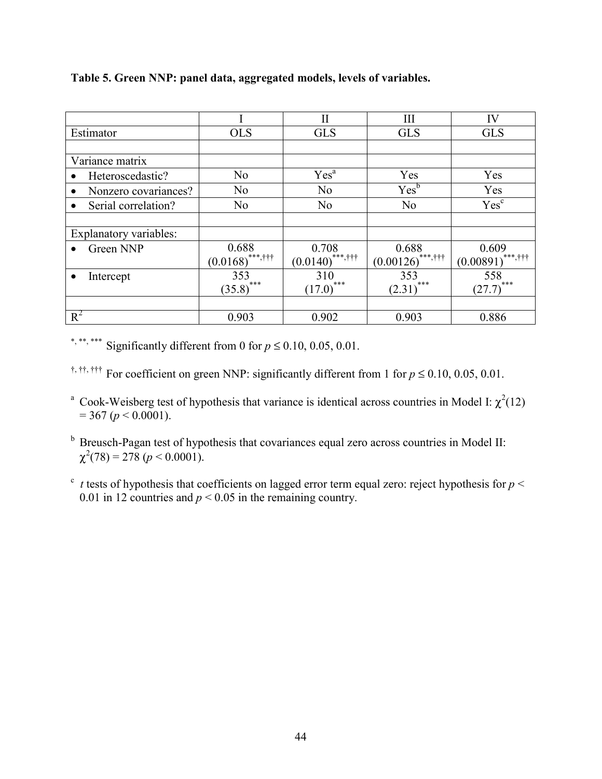|                                   |                                                     | $\mathbf{I}$       | III                 | IV                  |
|-----------------------------------|-----------------------------------------------------|--------------------|---------------------|---------------------|
| Estimator                         | <b>OLS</b>                                          | <b>GLS</b>         | <b>GLS</b>          | <b>GLS</b>          |
|                                   |                                                     |                    |                     |                     |
| Variance matrix                   |                                                     |                    |                     |                     |
| Heteroscedastic?                  | No                                                  | Yes <sup>a</sup>   | Yes                 | Yes                 |
| Nonzero covariances?<br>$\bullet$ | N <sub>0</sub>                                      | N <sub>o</sub>     | $Yes^b$             | Yes                 |
| Serial correlation?               | N <sub>o</sub>                                      | N <sub>o</sub>     | N <sub>0</sub>      | Yes <sup>c</sup>    |
|                                   |                                                     |                    |                     |                     |
| Explanatory variables:            |                                                     |                    |                     |                     |
| Green NNP                         | 0.688                                               | 0.708              | 0.688               | 0.609               |
|                                   | $(0.0168)$ ***,†††                                  | $(0.0140)$ ***,††† | $(0.00126)$ ***,††† | $(0.00891)$ ***,††† |
| Intercept                         | 353                                                 | 310                | 353                 | 558                 |
|                                   | $\left( \underline{35.8}\right) ^{\ast \ast \ast }$ | ***<br>(17.0)      | ***<br>(2.31)       | $(27.7)$ ***        |
|                                   |                                                     |                    |                     |                     |
| $R^2$                             | 0.903                                               | 0.902              | 0.903               | 0.886               |

**Table 5. Green NNP: panel data, aggregated models, levels of variables.**

\*, \*\*\* Significantly different from 0 for  $p \le 0.10, 0.05, 0.01$ .

†, ††, ††† For coefficient on green NNP: significantly different from 1 for *p* ≤ 0.10, 0.05, 0.01.

<sup>a</sup> Cook-Weisberg test of hypothesis that variance is identical across countries in Model I:  $\chi^2(12)$  $= 367$  ( $p < 0.0001$ ).

<sup>b</sup> Breusch-Pagan test of hypothesis that covariances equal zero across countries in Model II:  $\chi^2(78) = 278 \; (p \leq 0.0001).$ 

 $\epsilon$  *t* tests of hypothesis that coefficients on lagged error term equal zero: reject hypothesis for  $p <$ 0.01 in 12 countries and  $p < 0.05$  in the remaining country.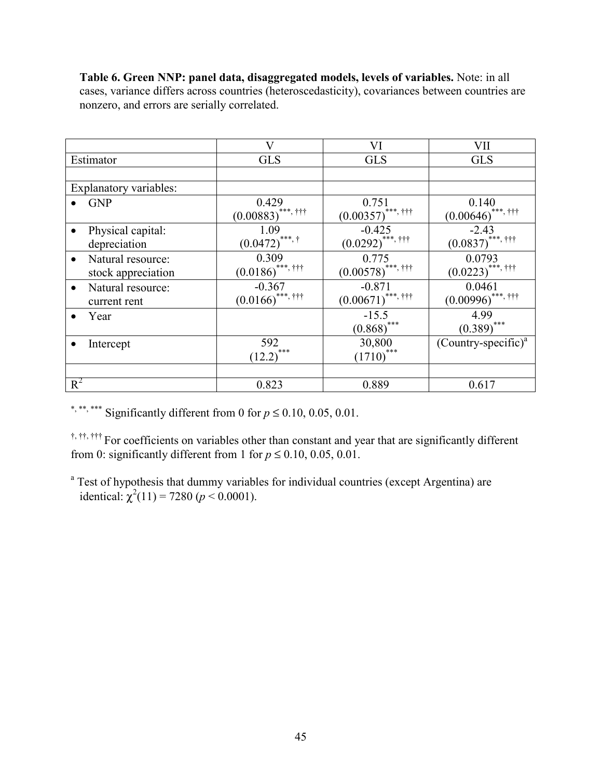|                                | V                             | VI                              | VII                             |
|--------------------------------|-------------------------------|---------------------------------|---------------------------------|
| Estimator                      | <b>GLS</b>                    | <b>GLS</b>                      | <b>GLS</b>                      |
|                                |                               |                                 |                                 |
| Explanatory variables:         |                               |                                 |                                 |
| <b>GNP</b>                     | 0.429                         | 0.751                           | 0.140                           |
|                                | $(0.00883)$ ***, †††          | $(0.00357)$ <sup>***, †††</sup> | $(0.00646)$ <sup>***, †††</sup> |
| Physical capital:              | 1.09                          | $-0.425$                        | $-2.43$                         |
| depreciation                   | $(0.0472)^{***}$ , †          | $(0.0292)$ ***, †††             | $(0.0837)$ ***, †††             |
| Natural resource:              | 0.309                         | 0.775                           | 0.0793                          |
| stock appreciation             | $(0.0186)$ ***, †††           | $(0.00578)$ ***, †††            | $(0.0223)$ ***, †††             |
| Natural resource:<br>$\bullet$ | $-0.367$                      | $-0.871$                        | 0.0461                          |
| current rent                   | $(0.0166)$ <sup>***,†††</sup> | $(0.00671)$ <sup>***, †††</sup> | $(0.00996)$ ***, †††            |
| Year                           |                               | $-15.5$                         | 4.99                            |
|                                |                               | $(0.868)$ ***                   | $(0.389)$ ***                   |
| Intercept                      | 592                           | 30,800                          | $(Country-specific)^a$          |
|                                | $(12.2)$ ***                  | $(1710)$ ***                    |                                 |
|                                |                               |                                 |                                 |
| $R^2$                          | 0.823                         | 0.889                           | 0.617                           |

**Table 6. Green NNP: panel data, disaggregated models, levels of variables.** Note: in all cases, variance differs across countries (heteroscedasticity), covariances between countries are nonzero, and errors are serially correlated.

\*, \*\*\*, \*\*\* Significantly different from 0 for  $p \le 0.10, 0.05, 0.01$ .

†, ††, ††† For coefficients on variables other than constant and year that are significantly different from 0: significantly different from 1 for  $p \le 0.10, 0.05, 0.01$ .

<sup>a</sup> Test of hypothesis that dummy variables for individual countries (except Argentina) are identical:  $\chi^2(11) = 7280 (p < 0.0001)$ .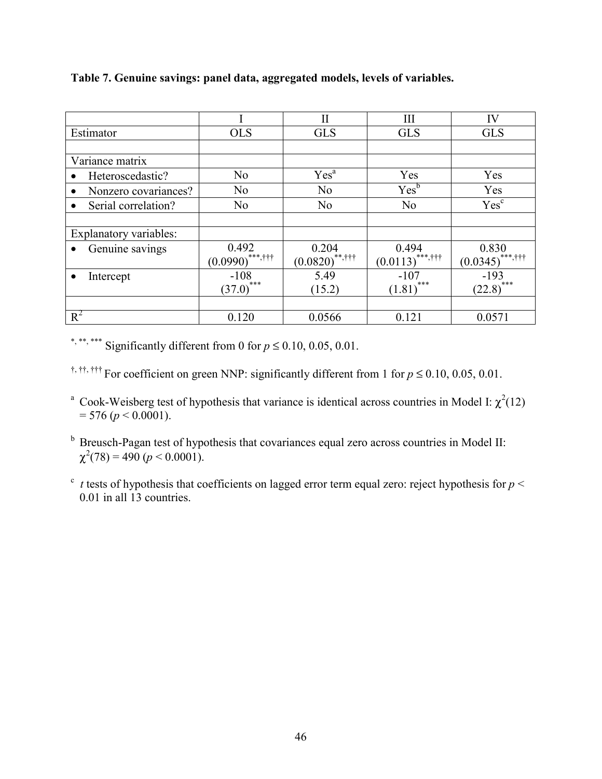|                                   |                    | Н                 | Ш                  | IV                 |
|-----------------------------------|--------------------|-------------------|--------------------|--------------------|
| Estimator                         | <b>OLS</b>         | <b>GLS</b>        | <b>GLS</b>         | <b>GLS</b>         |
|                                   |                    |                   |                    |                    |
| Variance matrix                   |                    |                   |                    |                    |
| Heteroscedastic?                  | No                 | Yes <sup>a</sup>  | Yes                | Yes                |
| Nonzero covariances?<br>$\bullet$ | N <sub>0</sub>     | N <sub>o</sub>    | Yes <sup>b</sup>   | Yes                |
| Serial correlation?               | N <sub>0</sub>     | N <sub>0</sub>    | N <sub>o</sub>     | Yes <sup>c</sup>   |
|                                   |                    |                   |                    |                    |
| Explanatory variables:            |                    |                   |                    |                    |
| Genuine savings                   | 0.492              | 0.204             | 0.494              | 0.830              |
|                                   | $(0.0990)$ ***,††† | $(0.0820)$ **,††† | $(0.0113)$ ***,††† | $(0.0345)$ ***,††† |
| Intercept                         | $-108$             | 5.49              | $-107$             | $-193$             |
|                                   | ***<br>(37.0)      | (15.2)            | ***<br>(1.81)      | $(22.8)$ ***       |
|                                   |                    |                   |                    |                    |
| $R^2$                             | 0.120              | 0.0566            | 0.121              | 0.0571             |

**Table 7. Genuine savings: panel data, aggregated models, levels of variables.**

\*, \*\*\*, \*\*\* Significantly different from 0 for  $p \le 0.10, 0.05, 0.01$ .

†, ††, ††† For coefficient on green NNP: significantly different from 1 for *p* ≤ 0.10, 0.05, 0.01.

<sup>a</sup> Cook-Weisberg test of hypothesis that variance is identical across countries in Model I:  $\chi^2(12)$  $= 576$  ( $p < 0.0001$ ).

<sup>b</sup> Breusch-Pagan test of hypothesis that covariances equal zero across countries in Model II:  $\chi^2(78) = 490 \; (p \leq 0.0001).$ 

 $\epsilon$  *t* tests of hypothesis that coefficients on lagged error term equal zero: reject hypothesis for  $p <$ 0.01 in all 13 countries.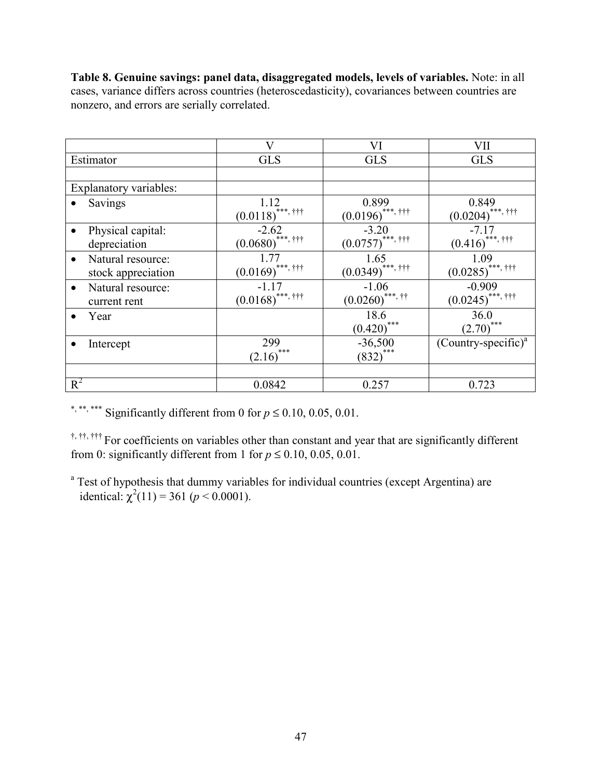**Table 8. Genuine savings: panel data, disaggregated models, levels of variables.** Note: in all cases, variance differs across countries (heteroscedasticity), covariances between countries are nonzero, and errors are serially correlated.

|                                                      | $\overline{\text{V}}$                    | VI                             | VII                                      |
|------------------------------------------------------|------------------------------------------|--------------------------------|------------------------------------------|
| Estimator                                            | <b>GLS</b>                               | <b>GLS</b>                     | <b>GLS</b>                               |
|                                                      |                                          |                                |                                          |
| Explanatory variables:                               |                                          |                                |                                          |
| Savings                                              | 1.12<br>$(0.0118)$ ***, †††              | 0.899<br>$(0.0196)$ ***, †††   | 0.849<br>$(0.0204)$ ***, †††             |
| Physical capital:<br>depreciation                    | $-2.62$<br>$(0.0680)$ ***, †††           | $-3.20$<br>$(0.0757)$ ***, ††† | $-7.17$<br>$(0.416)$ <sup>***, †††</sup> |
| Natural resource:<br>$\bullet$<br>stock appreciation | 1.77<br>$(0.0169)$ ***, †††              | 1.65<br>$(0.0349)$ ***, †††    | 1.09<br>$(0.0285)$ ***, †††              |
| Natural resource:<br>$\bullet$<br>current rent       | $-1.17$<br>$(0.0168)$ <sup>***,†††</sup> | $-1.06$<br>$(0.0260)$ ***, ††  | $-0.909$<br>$(0.0245)$ ***, †††          |
| Year                                                 |                                          | 18.6<br>$(0.420)$ ***          | 36.0<br>$(2.70)$ ***                     |
| Intercept                                            | 299<br>$(2.16)$ ***                      | $-36,500$<br>$(832)$ ***       | $(Country-specific)^{a}$                 |
|                                                      |                                          |                                |                                          |
| $R^2$                                                | 0.0842                                   | 0.257                          | 0.723                                    |

\*, \*\*\*, \*\*\* Significantly different from 0 for  $p \le 0.10, 0.05, 0.01$ .

†, ††, ††† For coefficients on variables other than constant and year that are significantly different from 0: significantly different from 1 for  $p \le 0.10, 0.05, 0.01$ .

<sup>a</sup> Test of hypothesis that dummy variables for individual countries (except Argentina) are identical:  $\chi^2(11) = 361$  ( $p < 0.0001$ ).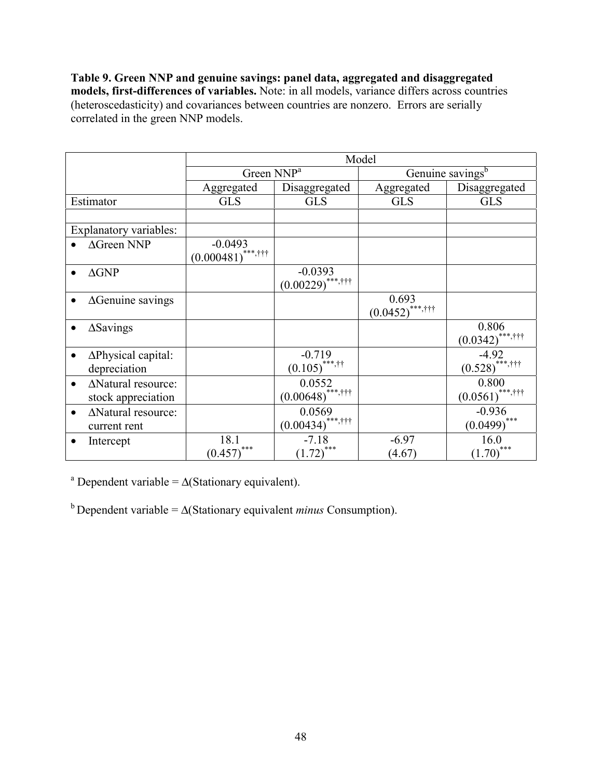**Table 9. Green NNP and genuine savings: panel data, aggregated and disaggregated models, first-differences of variables.** Note: in all models, variance differs across countries (heteroscedasticity) and covariances between countries are nonzero. Errors are serially correlated in the green NNP models.

|                                            | Model                             |                                    |                             |                                           |  |
|--------------------------------------------|-----------------------------------|------------------------------------|-----------------------------|-------------------------------------------|--|
|                                            | Green NNP <sup>a</sup>            |                                    |                             | Genuine savings <sup>b</sup>              |  |
|                                            | Aggregated                        | Disaggregated                      | Aggregated                  | Disaggregated                             |  |
| Estimator                                  | <b>GLS</b>                        | <b>GLS</b>                         | <b>GLS</b>                  | <b>GLS</b>                                |  |
|                                            |                                   |                                    |                             |                                           |  |
| Explanatory variables:                     |                                   |                                    |                             |                                           |  |
| $\Delta$ Green NNP                         | $-0.0493$<br>$(0.000481)$ ***,††† |                                    |                             |                                           |  |
| $\Delta$ GNP                               |                                   | $-0.0393$<br>$(0.00229)$ ***,†††   |                             |                                           |  |
| $\Delta$ Genuine savings                   |                                   |                                    | 0.693<br>$(0.0452)$ ***,††† |                                           |  |
| $\Delta$ Savings                           |                                   |                                    |                             | 0.806<br>$(0.0342)$ ***,†††               |  |
| $\Delta$ Physical capital:<br>depreciation |                                   | $-0.719$<br>$(0.105)$ ***,††       |                             | $-4.92$<br>$(0.528)$ <sup>******†††</sup> |  |
| ΔNatural resource:<br>stock appreciation   |                                   | 0.0552<br>$(0.00648)$ ***,†††      |                             | 0.800<br>$(0.0561)$ ***,†††               |  |
| ΔNatural resource:<br>current rent         |                                   | 0.0569<br>$(0.00434)$ ***,†††      |                             | $-0.936$<br>$(0.0499)$ ***                |  |
| Intercept                                  | 18.1<br>$(0.457)$ ***             | $-7.18$<br>$(1.72)$ <sup>***</sup> | $-6.97$<br>(4.67)           | 16.0<br>$(1.70)$ ***                      |  |

<sup>a</sup> Dependent variable =  $\Delta$ (Stationary equivalent).

b Dependent variable = ∆(Stationary equivalent *minus* Consumption).